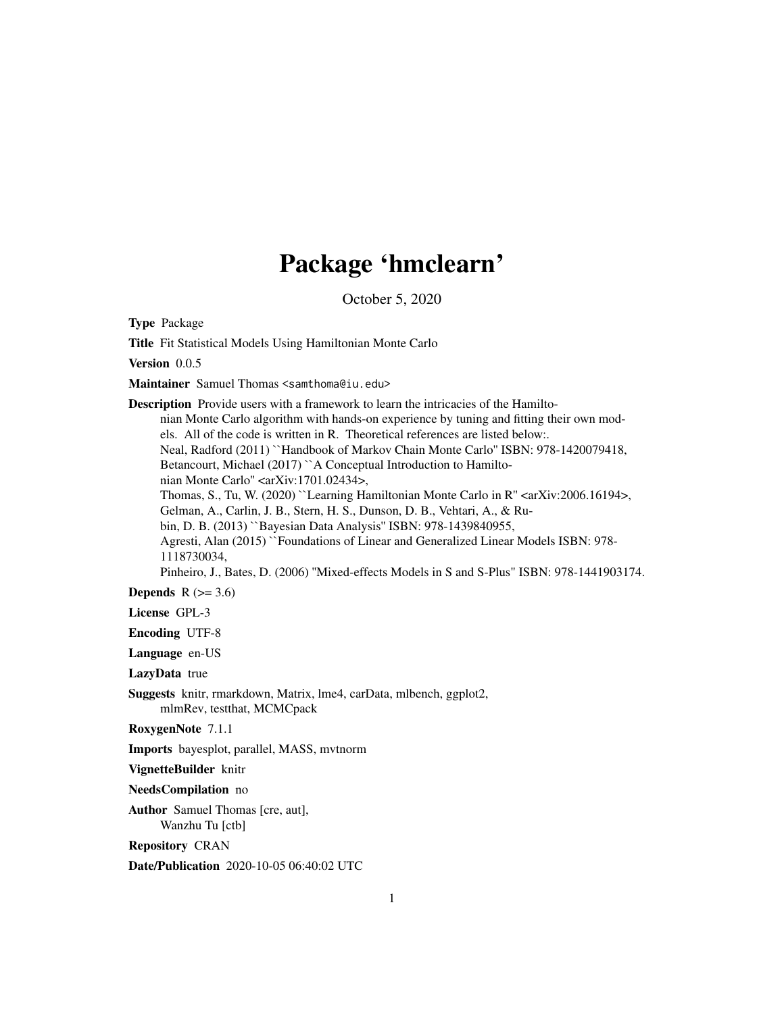# Package 'hmclearn'

October 5, 2020

Type Package

Title Fit Statistical Models Using Hamiltonian Monte Carlo

Version 0.0.5

Maintainer Samuel Thomas <samthoma@iu.edu>

Description Provide users with a framework to learn the intricacies of the Hamiltonian Monte Carlo algorithm with hands-on experience by tuning and fitting their own models. All of the code is written in R. Theoretical references are listed below:. Neal, Radford (2011) ``Handbook of Markov Chain Monte Carlo'' ISBN: 978-1420079418, Betancourt, Michael (2017) ``A Conceptual Introduction to Hamiltonian Monte Carlo" <arXiv:1701.02434>, Thomas, S., Tu, W. (2020) ``Learning Hamiltonian Monte Carlo in R" <arXiv:2006.16194>, Gelman, A., Carlin, J. B., Stern, H. S., Dunson, D. B., Vehtari, A., & Rubin, D. B. (2013) ``Bayesian Data Analysis'' ISBN: 978-1439840955, Agresti, Alan (2015) ``Foundations of Linear and Generalized Linear Models ISBN: 978- 1118730034, Pinheiro, J., Bates, D. (2006) ''Mixed-effects Models in S and S-Plus" ISBN: 978-1441903174.

Depends  $R$  ( $> = 3.6$ )

License GPL-3

Encoding UTF-8

Language en-US

LazyData true

Suggests knitr, rmarkdown, Matrix, lme4, carData, mlbench, ggplot2, mlmRev, testthat, MCMCpack

RoxygenNote 7.1.1

Imports bayesplot, parallel, MASS, mvtnorm

VignetteBuilder knitr

NeedsCompilation no

Author Samuel Thomas [cre, aut], Wanzhu Tu [ctb]

Repository CRAN

Date/Publication 2020-10-05 06:40:02 UTC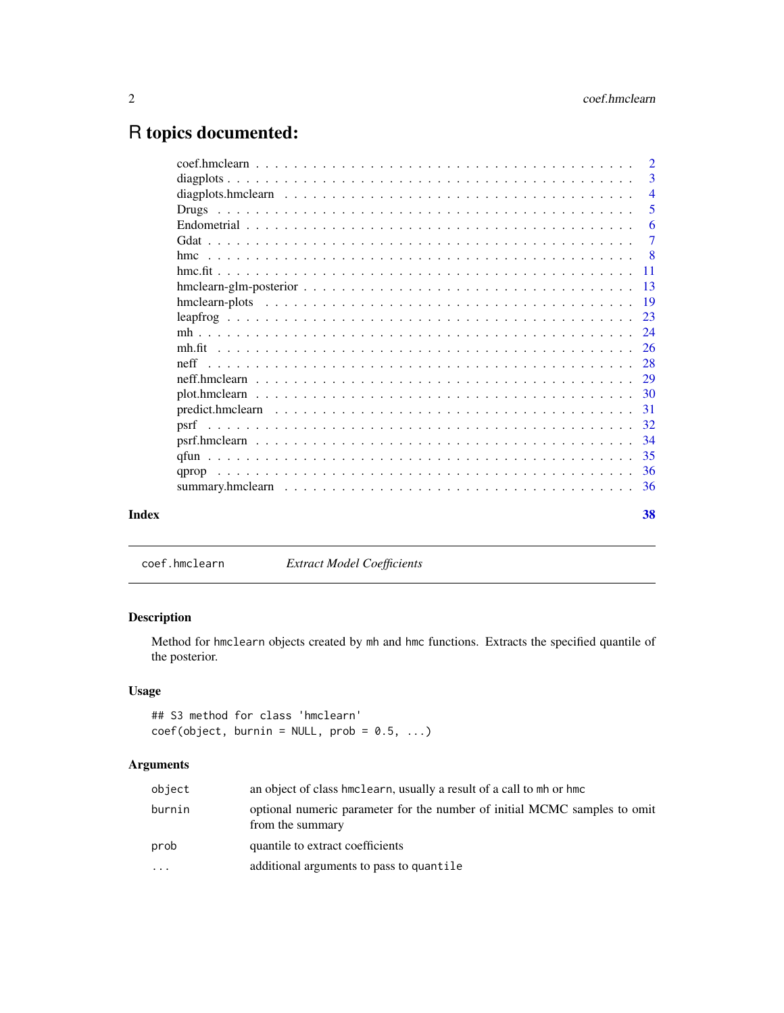# <span id="page-1-0"></span>R topics documented:

|       |       | $\overline{2}$            |
|-------|-------|---------------------------|
|       |       | 3                         |
|       |       | $\overline{4}$            |
|       |       | 5                         |
|       |       | 6                         |
|       |       | $\tau$                    |
|       |       | $\overline{\phantom{0}}8$ |
|       |       |                           |
|       |       |                           |
|       |       |                           |
|       |       | 23                        |
|       |       |                           |
|       |       |                           |
|       | neff  |                           |
|       |       |                           |
|       |       |                           |
|       |       | -31                       |
|       |       | 32                        |
|       |       |                           |
|       |       | -35                       |
|       | qprop |                           |
|       |       |                           |
| Index |       | 38                        |
|       |       |                           |

coef.hmclearn *Extract Model Coefficients*

# Description

Method for hmclearn objects created by mh and hmc functions. Extracts the specified quantile of the posterior.

# Usage

## S3 method for class 'hmclearn'  $coef(object, burnin = NULL, prob = 0.5, ...)$ 

# Arguments

| object   | an object of class hmclearn, usually a result of a call to mh or hmc                          |
|----------|-----------------------------------------------------------------------------------------------|
| burnin   | optional numeric parameter for the number of initial MCMC samples to omit<br>from the summary |
| prob     | quantile to extract coefficients                                                              |
| $\cdots$ | additional arguments to pass to quantile                                                      |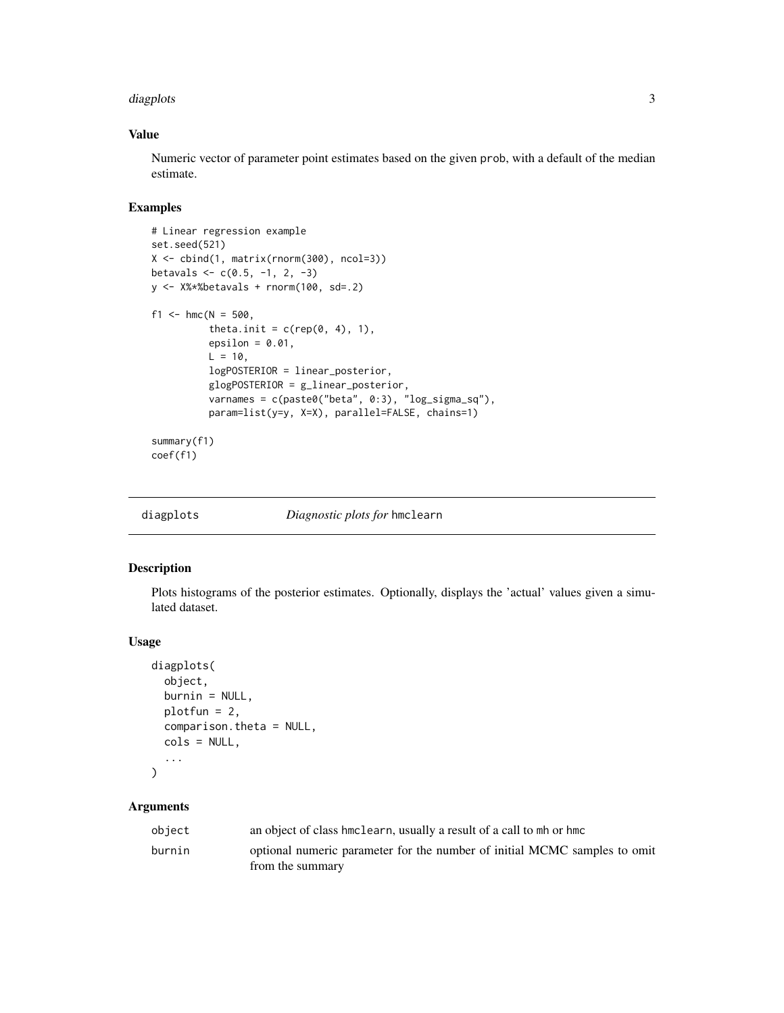#### <span id="page-2-0"></span>diagplots 3 and 3 and 3 and 3 and 3 and 3 and 3 and 3 and 3 and 3 and 3 and 3 and 3 and 3 and 3 and 3 and 3 and 3 and 3 and 3 and 3 and 3 and 3 and 3 and 3 and 3 and 3 and 3 and 3 and 3 and 3 and 3 and 3 and 3 and 3 and 3

# Value

Numeric vector of parameter point estimates based on the given prob, with a default of the median estimate.

# Examples

```
# Linear regression example
set.seed(521)
X <- cbind(1, matrix(rnorm(300), ncol=3))
betavals \leq c(0.5, -1, 2, -3)y \leftarrow X%*%betavals + rnorm(100, sd=.2)
f1 <- hmc(N = 500,theta.init = c(rep(\theta, 4), 1),
          epsilon = 0.01,
          L = 10,
          logPOSTERIOR = linear_posterior,
          glogPOSTERIOR = g_linear_posterior,
          varnames = c(paste0("beta", 0:3), "log_sigma_sq"),
          param=list(y=y, X=X), parallel=FALSE, chains=1)
summary(f1)
coef(f1)
```

| diagplots | Diagnostic plots for hmclearn |  |  |
|-----------|-------------------------------|--|--|
|           |                               |  |  |

# Description

Plots histograms of the posterior estimates. Optionally, displays the 'actual' values given a simulated dataset.

#### Usage

```
diagplots(
  object,
 burnin = NULL,
 plotfun = 2,
 comparison.theta = NULL,
  cols = NULL,...
)
```
### Arguments

| object | an object of class hmclearn, usually a result of a call to mh or hmc      |
|--------|---------------------------------------------------------------------------|
| burnin | optional numeric parameter for the number of initial MCMC samples to omit |
|        | from the summary                                                          |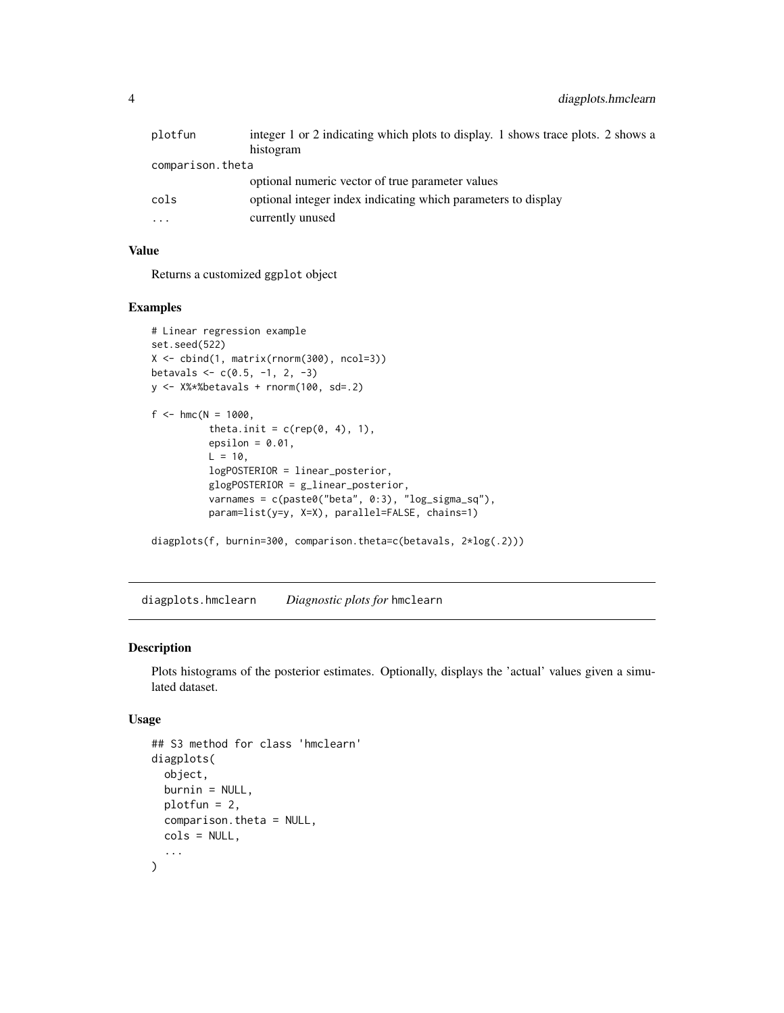<span id="page-3-0"></span>

| plotfun          | integer 1 or 2 indicating which plots to display. 1 shows trace plots. 2 shows a |
|------------------|----------------------------------------------------------------------------------|
|                  | histogram                                                                        |
| comparison.theta |                                                                                  |
|                  | optional numeric vector of true parameter values                                 |
| cols             | optional integer index indicating which parameters to display                    |
| $\ddotsc$        | currently unused                                                                 |

# Value

Returns a customized ggplot object

#### Examples

```
# Linear regression example
set.seed(522)
X <- cbind(1, matrix(rnorm(300), ncol=3))
betavals <- c(0.5, -1, 2, -3)
y <- X%*%betavals + rnorm(100, sd=.2)
f <- hmc(N = 1000,theta.init = c(rep(\theta, 4), 1),
          epsilon = 0.01,
          L = 10,logPOSTERIOR = linear_posterior,
          glogPOSTERIOR = g_linear_posterior,
          varnames = c(paste0("beta", 0:3), "log_sigma_sq"),
          param=list(y=y, X=X), parallel=FALSE, chains=1)
```

```
diagplots(f, burnin=300, comparison.theta=c(betavals, 2*log(.2)))
```
diagplots.hmclearn *Diagnostic plots for* hmclearn

#### Description

Plots histograms of the posterior estimates. Optionally, displays the 'actual' values given a simulated dataset.

#### Usage

```
## S3 method for class 'hmclearn'
diagplots(
  object,
 burnin = NULL,
 plotfun = 2,
  comparison.theta = NULL,
  cols = NULL,
  ...
\mathcal{E}
```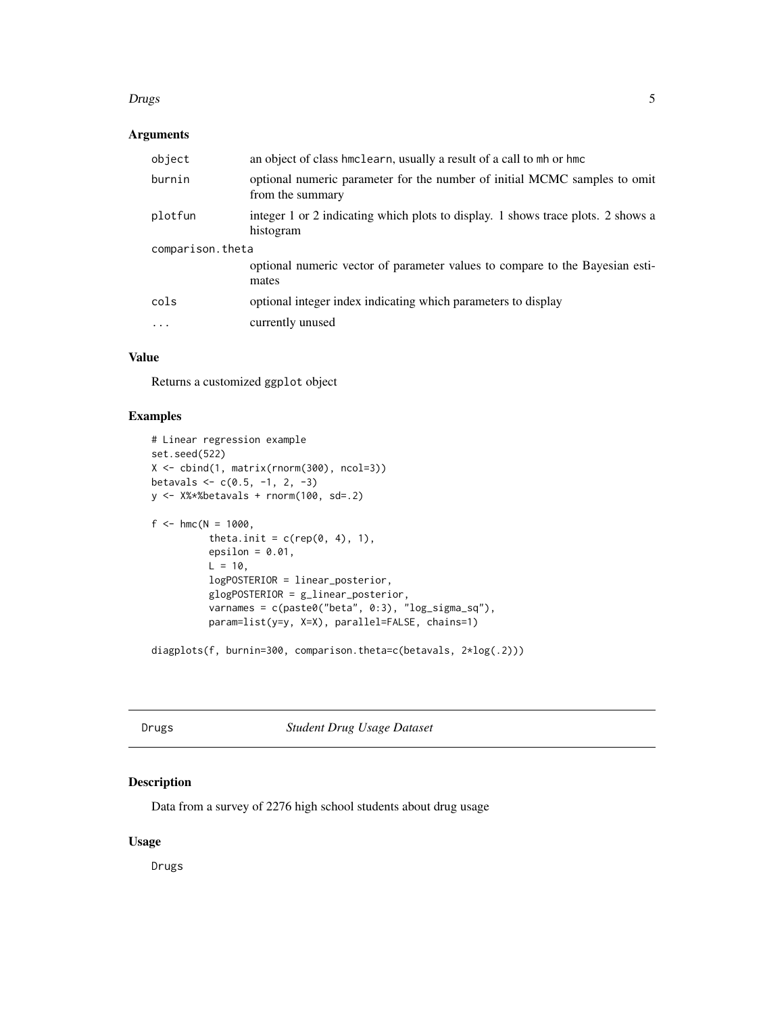#### <span id="page-4-0"></span>example to the contract of the contract of the contract of the contract of the contract of the contract of the contract of the contract of the contract of the contract of the contract of the contract of the contract of the

# Arguments

| object           | an object of class hmclearn, usually a result of a call to mh or hmc                          |  |  |
|------------------|-----------------------------------------------------------------------------------------------|--|--|
| burnin           | optional numeric parameter for the number of initial MCMC samples to omit<br>from the summary |  |  |
| plotfun          | integer 1 or 2 indicating which plots to display. 1 shows trace plots. 2 shows a<br>histogram |  |  |
| comparison.theta |                                                                                               |  |  |
|                  | optional numeric vector of parameter values to compare to the Bayesian esti-<br>mates         |  |  |
| cols             | optional integer index indicating which parameters to display                                 |  |  |
| .                | currently unused                                                                              |  |  |

# Value

Returns a customized ggplot object

# Examples

```
# Linear regression example
set.seed(522)
X <- cbind(1, matrix(rnorm(300), ncol=3))
betavals \leq c(0.5, -1, 2, -3)y \le -X\ *Sbetavals + rnorm(100, sd=.2)
f <- hmc(N = 1000,theta.init = c(rep(\theta, 4), 1),
          epsilon = 0.01,
          L = 10,
          logPOSTERIOR = linear_posterior,
          glogPOSTERIOR = g_linear_posterior,
          varnames = c(paste0("beta", 0:3), "log_sigma_sq"),
          param=list(y=y, X=X), parallel=FALSE, chains=1)
```
diagplots(f, burnin=300, comparison.theta=c(betavals, 2\*log(.2)))

Drugs *Student Drug Usage Dataset*

# Description

Data from a survey of 2276 high school students about drug usage

# Usage

Drugs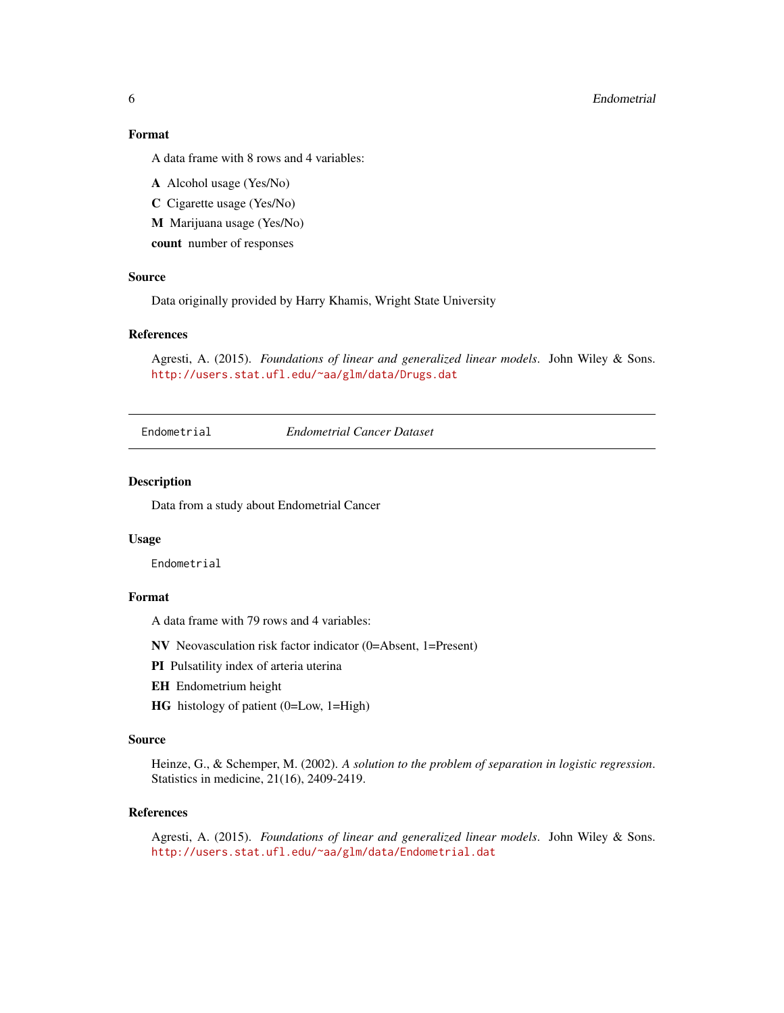#### <span id="page-5-0"></span>6 Endometrial

### Format

A data frame with 8 rows and 4 variables:

A Alcohol usage (Yes/No)

C Cigarette usage (Yes/No)

M Marijuana usage (Yes/No)

count number of responses

### Source

Data originally provided by Harry Khamis, Wright State University

#### References

Agresti, A. (2015). *Foundations of linear and generalized linear models*. John Wiley & Sons. <http://users.stat.ufl.edu/~aa/glm/data/Drugs.dat>

Endometrial *Endometrial Cancer Dataset*

#### Description

Data from a study about Endometrial Cancer

#### Usage

Endometrial

#### Format

A data frame with 79 rows and 4 variables:

NV Neovasculation risk factor indicator (0=Absent, 1=Present)

PI Pulsatility index of arteria uterina

- EH Endometrium height
- HG histology of patient (0=Low, 1=High)

# Source

Heinze, G., & Schemper, M. (2002). *A solution to the problem of separation in logistic regression*. Statistics in medicine, 21(16), 2409-2419.

#### References

Agresti, A. (2015). *Foundations of linear and generalized linear models*. John Wiley & Sons. <http://users.stat.ufl.edu/~aa/glm/data/Endometrial.dat>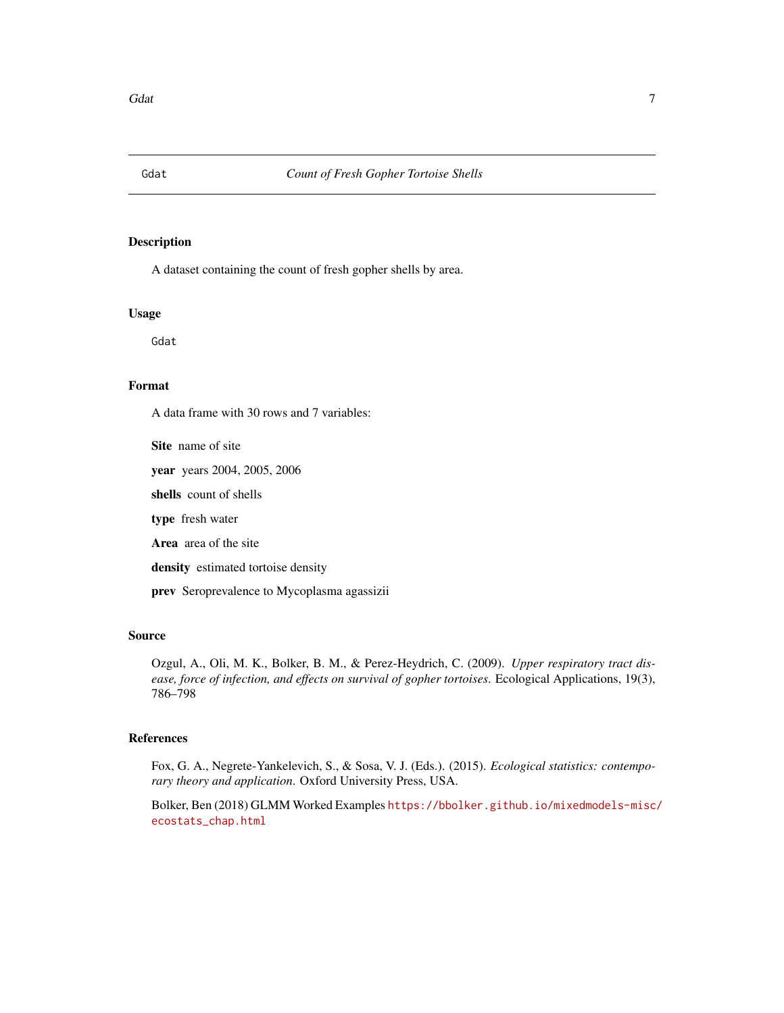<span id="page-6-0"></span>

#### Description

A dataset containing the count of fresh gopher shells by area.

#### Usage

Gdat

#### Format

A data frame with 30 rows and 7 variables:

Site name of site

year years 2004, 2005, 2006

shells count of shells

type fresh water

Area area of the site

density estimated tortoise density

prev Seroprevalence to Mycoplasma agassizii

### Source

Ozgul, A., Oli, M. K., Bolker, B. M., & Perez-Heydrich, C. (2009). *Upper respiratory tract disease, force of infection, and effects on survival of gopher tortoises*. Ecological Applications, 19(3), 786–798

# References

Fox, G. A., Negrete-Yankelevich, S., & Sosa, V. J. (Eds.). (2015). *Ecological statistics: contemporary theory and application*. Oxford University Press, USA.

Bolker, Ben (2018) GLMM Worked Examples [https://bbolker.github.io/mixedmodels-misc/](https://bbolker.github.io/mixedmodels-misc/ecostats_chap.html) [ecostats\\_chap.html](https://bbolker.github.io/mixedmodels-misc/ecostats_chap.html)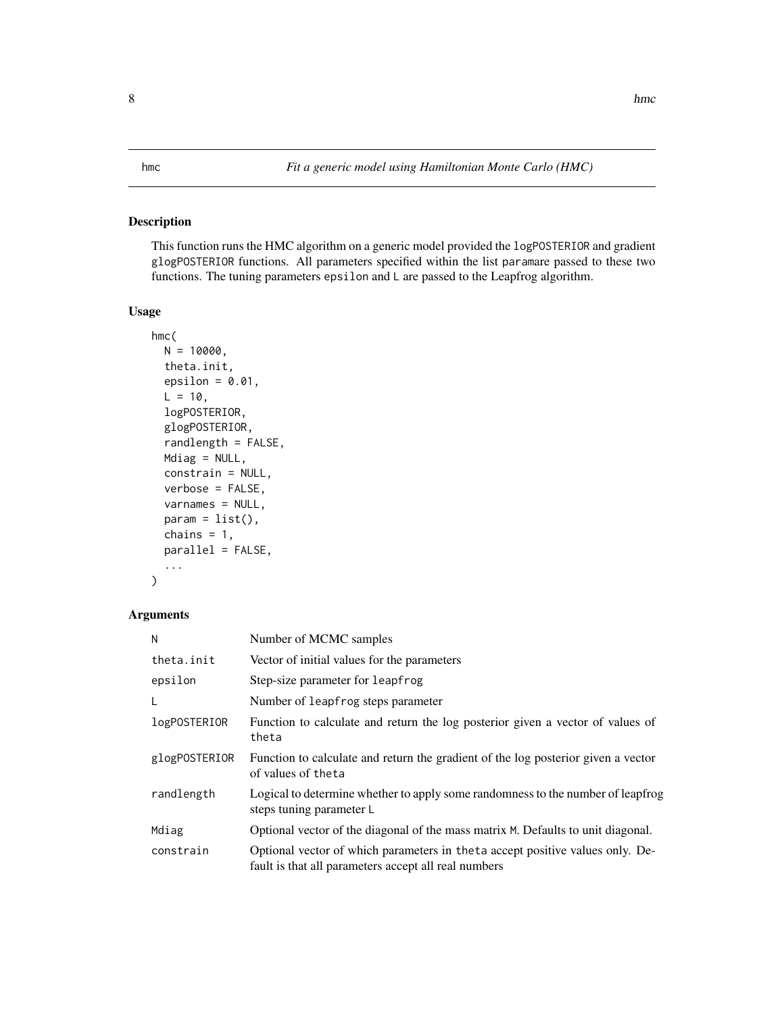### <span id="page-7-0"></span>Description

This function runs the HMC algorithm on a generic model provided the logPOSTERIOR and gradient glogPOSTERIOR functions. All parameters specified within the list paramare passed to these two functions. The tuning parameters epsilon and L are passed to the Leapfrog algorithm.

# Usage

```
hmc(
  N = 10000,theta.init,
  epsilon = 0.01,
 L = 10,
  logPOSTERIOR,
  glogPOSTERIOR,
  randlength = FALSE,
 Mdiag = NULL,
  constrain = NULL,
  verbose = FALSE,
  varnames = NULL,
  param = list(),chains = 1,
  parallel = FALSE,
  ...
)
```
# Arguments

| N             | Number of MCMC samples                                                                                                                 |
|---------------|----------------------------------------------------------------------------------------------------------------------------------------|
| theta.init    | Vector of initial values for the parameters                                                                                            |
| epsilon       | Step-size parameter for leapfrog                                                                                                       |
| L             | Number of leapfrog steps parameter                                                                                                     |
| logPOSTERIOR  | Function to calculate and return the log posterior given a vector of values of<br>theta                                                |
| glogPOSTERIOR | Function to calculate and return the gradient of the log posterior given a vector<br>of values of the ta                               |
| randlength    | Logical to determine whether to apply some randomness to the number of leapfrog<br>steps tuning parameter L                            |
| Mdiag         | Optional vector of the diagonal of the mass matrix M. Defaults to unit diagonal.                                                       |
| constrain     | Optional vector of which parameters in the ta accept positive values only. De-<br>fault is that all parameters accept all real numbers |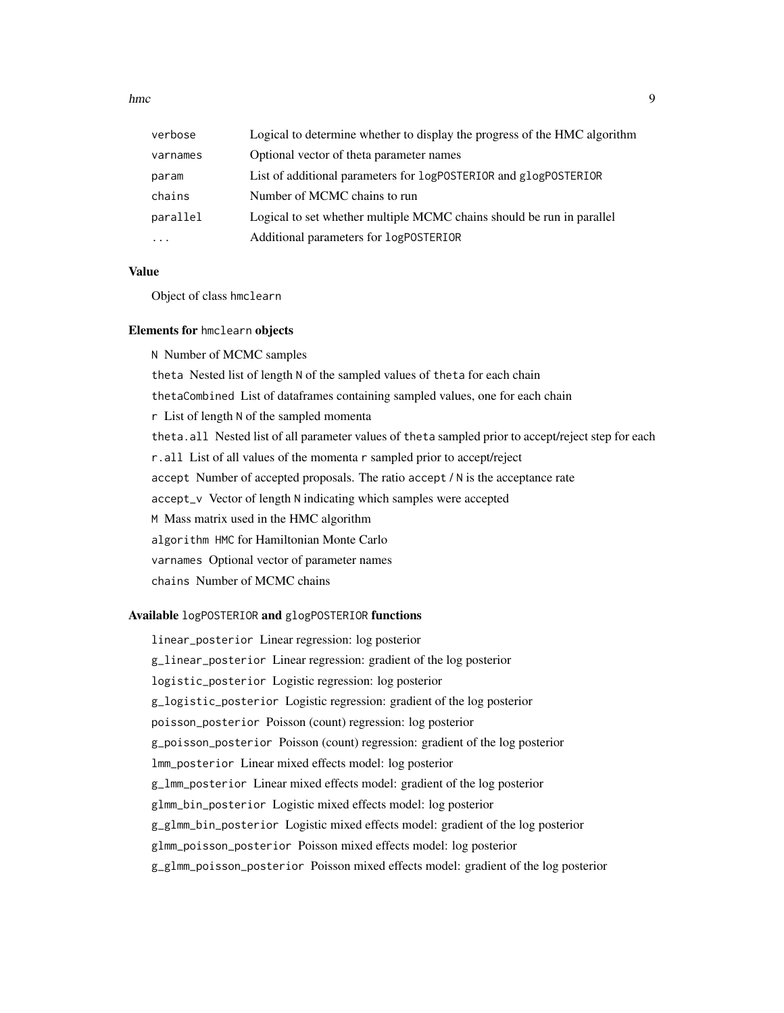hmc 9

| verbose  | Logical to determine whether to display the progress of the HMC algorithm |
|----------|---------------------------------------------------------------------------|
| varnames | Optional vector of theta parameter names                                  |
| param    | List of additional parameters for logPOSTERIOR and glogPOSTERIOR          |
| chains   | Number of MCMC chains to run                                              |
| parallel | Logical to set whether multiple MCMC chains should be run in parallel     |
| $\cdots$ | Additional parameters for logPOSTERIOR                                    |

#### Value

Object of class hmclearn

#### Elements for hmclearn objects

N Number of MCMC samples theta Nested list of length N of the sampled values of theta for each chain thetaCombined List of dataframes containing sampled values, one for each chain r List of length N of the sampled momenta theta.all Nested list of all parameter values of theta sampled prior to accept/reject step for each r.all List of all values of the momenta r sampled prior to accept/reject accept Number of accepted proposals. The ratio accept / N is the acceptance rate accept\_v Vector of length N indicating which samples were accepted M Mass matrix used in the HMC algorithm algorithm HMC for Hamiltonian Monte Carlo varnames Optional vector of parameter names chains Number of MCMC chains

# Available logPOSTERIOR and glogPOSTERIOR functions

linear\_posterior Linear regression: log posterior g\_linear\_posterior Linear regression: gradient of the log posterior logistic\_posterior Logistic regression: log posterior g\_logistic\_posterior Logistic regression: gradient of the log posterior poisson\_posterior Poisson (count) regression: log posterior g\_poisson\_posterior Poisson (count) regression: gradient of the log posterior lmm\_posterior Linear mixed effects model: log posterior g\_lmm\_posterior Linear mixed effects model: gradient of the log posterior glmm\_bin\_posterior Logistic mixed effects model: log posterior g\_glmm\_bin\_posterior Logistic mixed effects model: gradient of the log posterior glmm\_poisson\_posterior Poisson mixed effects model: log posterior g\_glmm\_poisson\_posterior Poisson mixed effects model: gradient of the log posterior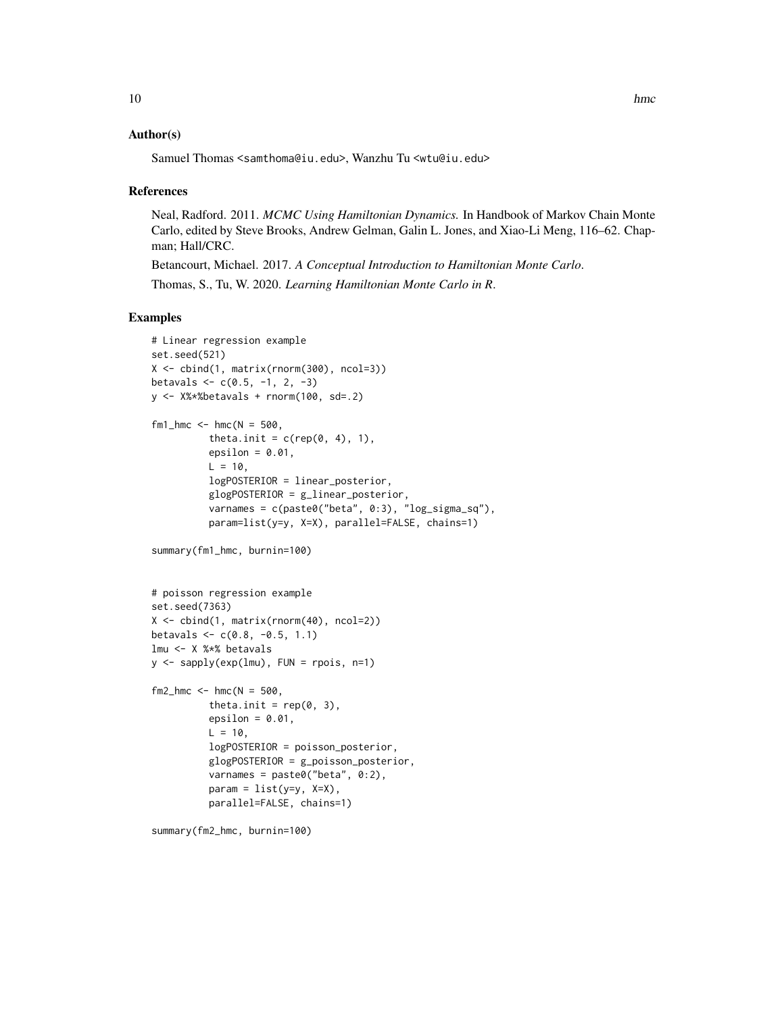#### Author(s)

Samuel Thomas <samthoma@iu.edu>, Wanzhu Tu <wtu@iu.edu>

#### References

Neal, Radford. 2011. *MCMC Using Hamiltonian Dynamics.* In Handbook of Markov Chain Monte Carlo, edited by Steve Brooks, Andrew Gelman, Galin L. Jones, and Xiao-Li Meng, 116–62. Chapman; Hall/CRC.

Betancourt, Michael. 2017. *A Conceptual Introduction to Hamiltonian Monte Carlo*.

Thomas, S., Tu, W. 2020. *Learning Hamiltonian Monte Carlo in R*.

# Examples

```
# Linear regression example
set.seed(521)
X <- cbind(1, matrix(rnorm(300), ncol=3))
betavals \leq c(0.5, -1, 2, -3)y \le -X\ *Sbetavals + rnorm(100, sd=.2)
fm1_hmc <- hmc(N = 500,theta.init = c(rep(\theta, 4), 1),
          epsilon = 0.01,
          L = 10,
          logPOSTERIOR = linear_posterior,
          glogPOSTERIOR = g_linear_posterior,
          varnames = c(paste0("beta", 0:3), "log_sigma_sq"),
          param=list(y=y, X=X), parallel=FALSE, chains=1)
summary(fm1_hmc, burnin=100)
# poisson regression example
set.seed(7363)
X \leftarrow \text{cbind}(1, \text{matrix}(rnorm(40), \text{ncol=2}))betavals \leq c(0.8, -0.5, 1.1)lmu <- X %*% betavals
y <- sapply(exp(lmu), FUN = rpois, n=1)
fm2_hmc < - hmc(N = 500,
          theta.init = rep(0, 3),
          epsilon = 0.01,
          L = 10,
          logPOSTERIOR = poisson_posterior,
          glogPOSTERIOR = g_poisson_posterior,
          varnames = paste0("beta", 0:2),
          param = list(y=y, X=X),
          parallel=FALSE, chains=1)
```
summary(fm2\_hmc, burnin=100)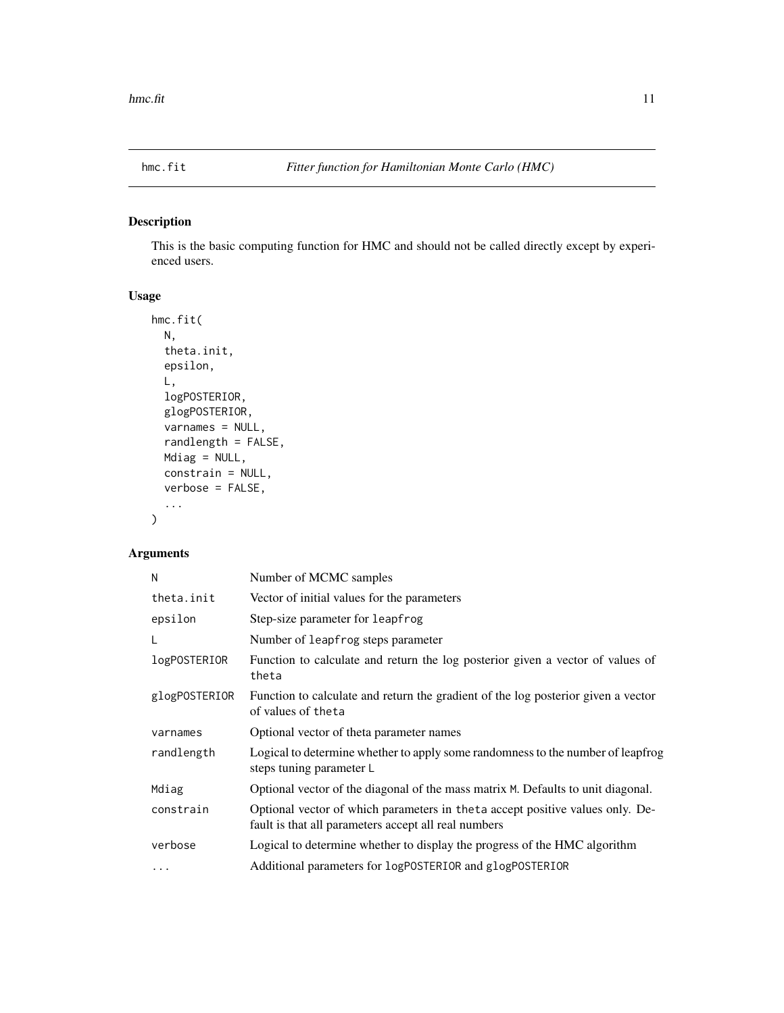<span id="page-10-0"></span>

# Description

This is the basic computing function for HMC and should not be called directly except by experienced users.

# Usage

```
hmc.fit(
 N,
  theta.init,
 epsilon,
 L,
 logPOSTERIOR,
 glogPOSTERIOR,
 varnames = NULL,
  randlength = FALSE,
 Mdiag = NULL,
 constrain = NULL,
 verbose = FALSE,
  ...
)
```
# Arguments

| N                   | Number of MCMC samples                                                                                                                 |
|---------------------|----------------------------------------------------------------------------------------------------------------------------------------|
| theta.init          | Vector of initial values for the parameters                                                                                            |
| epsilon             | Step-size parameter for leapfrog                                                                                                       |
| L                   | Number of leapfrog steps parameter                                                                                                     |
| <i>logPOSTERIOR</i> | Function to calculate and return the log posterior given a vector of values of<br>theta                                                |
| glogPOSTERIOR       | Function to calculate and return the gradient of the log posterior given a vector<br>of values of theta                                |
| varnames            | Optional vector of theta parameter names                                                                                               |
| randlength          | Logical to determine whether to apply some randomness to the number of leapfrog<br>steps tuning parameter L                            |
| Mdiag               | Optional vector of the diagonal of the mass matrix M. Defaults to unit diagonal.                                                       |
| constrain           | Optional vector of which parameters in the ta accept positive values only. De-<br>fault is that all parameters accept all real numbers |
| verbose             | Logical to determine whether to display the progress of the HMC algorithm                                                              |
| $\cdots$            | Additional parameters for logPOSTERIOR and glogPOSTERIOR                                                                               |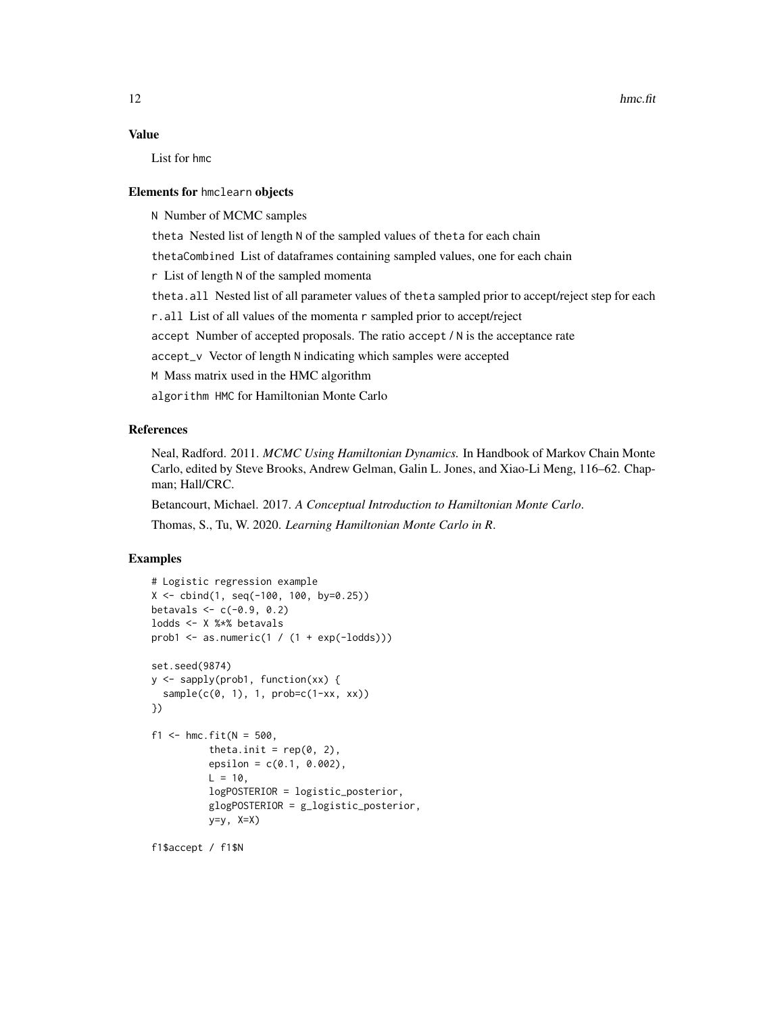### Value

List for hmc

#### Elements for hmclearn objects

N Number of MCMC samples

theta Nested list of length N of the sampled values of theta for each chain

thetaCombined List of dataframes containing sampled values, one for each chain

r List of length N of the sampled momenta

theta.all Nested list of all parameter values of theta sampled prior to accept/reject step for each

r.all List of all values of the momenta r sampled prior to accept/reject

accept Number of accepted proposals. The ratio accept / N is the acceptance rate

accept\_v Vector of length N indicating which samples were accepted

M Mass matrix used in the HMC algorithm

algorithm HMC for Hamiltonian Monte Carlo

# References

Neal, Radford. 2011. *MCMC Using Hamiltonian Dynamics.* In Handbook of Markov Chain Monte Carlo, edited by Steve Brooks, Andrew Gelman, Galin L. Jones, and Xiao-Li Meng, 116–62. Chapman; Hall/CRC.

Betancourt, Michael. 2017. *A Conceptual Introduction to Hamiltonian Monte Carlo*.

Thomas, S., Tu, W. 2020. *Learning Hamiltonian Monte Carlo in R*.

#### Examples

```
# Logistic regression example
X \le - \text{cbind}(1, \text{seq}(-100, 100, \text{by=0}.25))betavals <-c(-0.9, 0.2)lodds <- X %*% betavals
prob1 <- as.numeric(1 / (1 + \exp(-I)set.seed(9874)
y <- sapply(prob1, function(xx) {
  sample(c(0, 1), 1, prob=c(1-xx, xx))})
f1 <- hmc.fit(N = 500,theta.init = rep(0, 2),
          epsilon = c(0.1, 0.002),
          L = 10,
          logPOSTERIOR = logistic_posterior,
          glogPOSTERIOR = g_logistic_posterior,
          y=y, X=X)
```
f1\$accept / f1\$N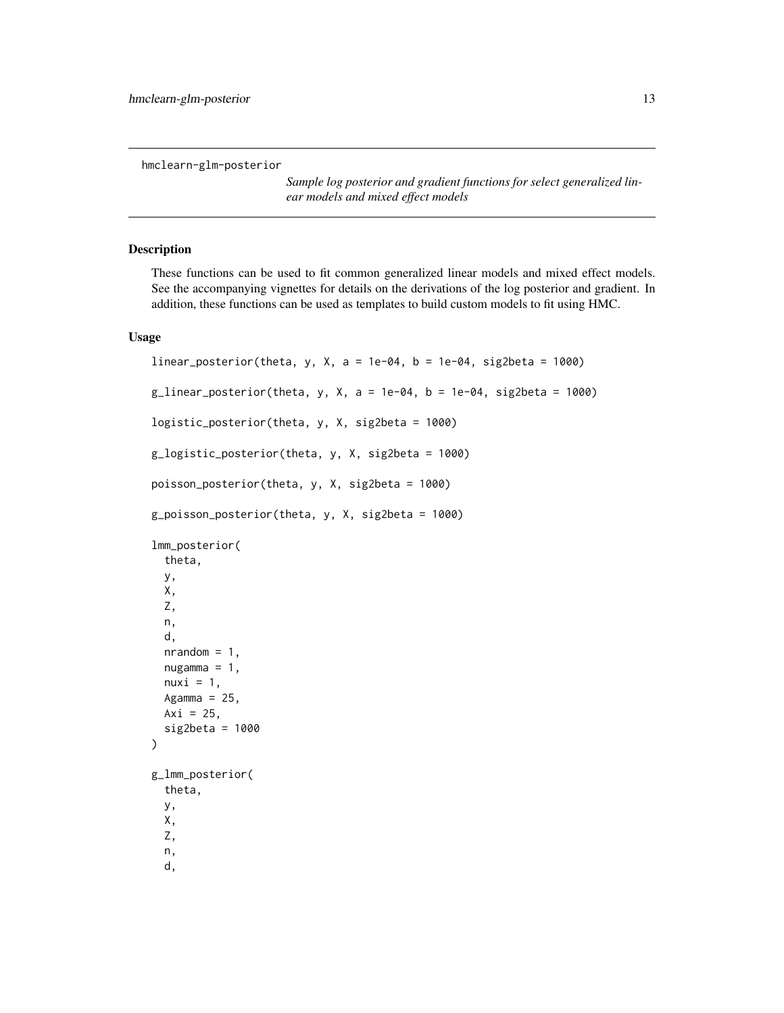<span id="page-12-0"></span>hmclearn-glm-posterior

*Sample log posterior and gradient functions for select generalized linear models and mixed effect models*

#### Description

These functions can be used to fit common generalized linear models and mixed effect models. See the accompanying vignettes for details on the derivations of the log posterior and gradient. In addition, these functions can be used as templates to build custom models to fit using HMC.

# Usage

```
linear_posterior(theta, y, X, a = 1e-04, b = 1e-04, sig2beta = 1000)
g_linear_posterior(theta, y, X, a = 1e-04, b = 1e-04, sig2beta = 1000)
logistic_posterior(theta, y, X, sig2beta = 1000)
g_logistic_posterior(theta, y, X, sig2beta = 1000)
poisson_posterior(theta, y, X, sig2beta = 1000)
g_poisson_posterior(theta, y, X, sig2beta = 1000)
lmm_posterior(
  theta,
 y,
  X,
  Z,
 n,
  d,
  nrandom = 1,
  nugamma = 1,
  nuxi = 1,
  Agamma = 25,
 Axi = 25,
  sig2beta = 1000
)
g_lmm_posterior(
  theta,
  y,
  X,
  Z,
 n,
  d,
```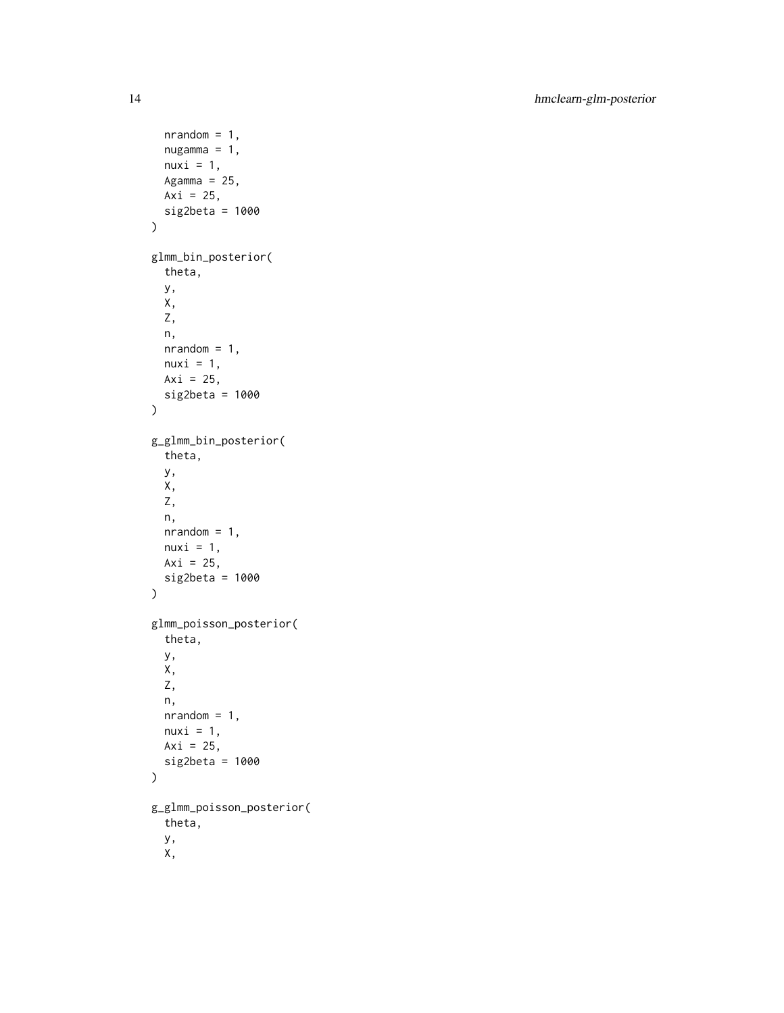```
nrandom = 1,
 nugamma = 1,
 nuxi = 1,
 Agamma = 25,
 Axi = 25,
 sig2beta = 1000
\mathcal{L}glmm_bin_posterior(
 theta,
 y,
 X,
 Z,
 n,
 nrandom = 1,
 nuxi = 1,
 Axi = 25,
 sig2beta = 1000
\mathcal{L}g_glmm_bin_posterior(
  theta,
 y,
 X,
 Z,
 n,
 nrandom = 1,
 nuxi = 1,
 Axi = 25,
 sig2beta = 1000
)
glmm_poisson_posterior(
  theta,
 y,
 X,
  Z,
 n,
 nrandom = 1,
 nuxi = 1,
 Axi = 25,
  sig2beta = 1000
\mathcal{L}g_glmm_poisson_posterior(
  theta,
  y,
  X,
```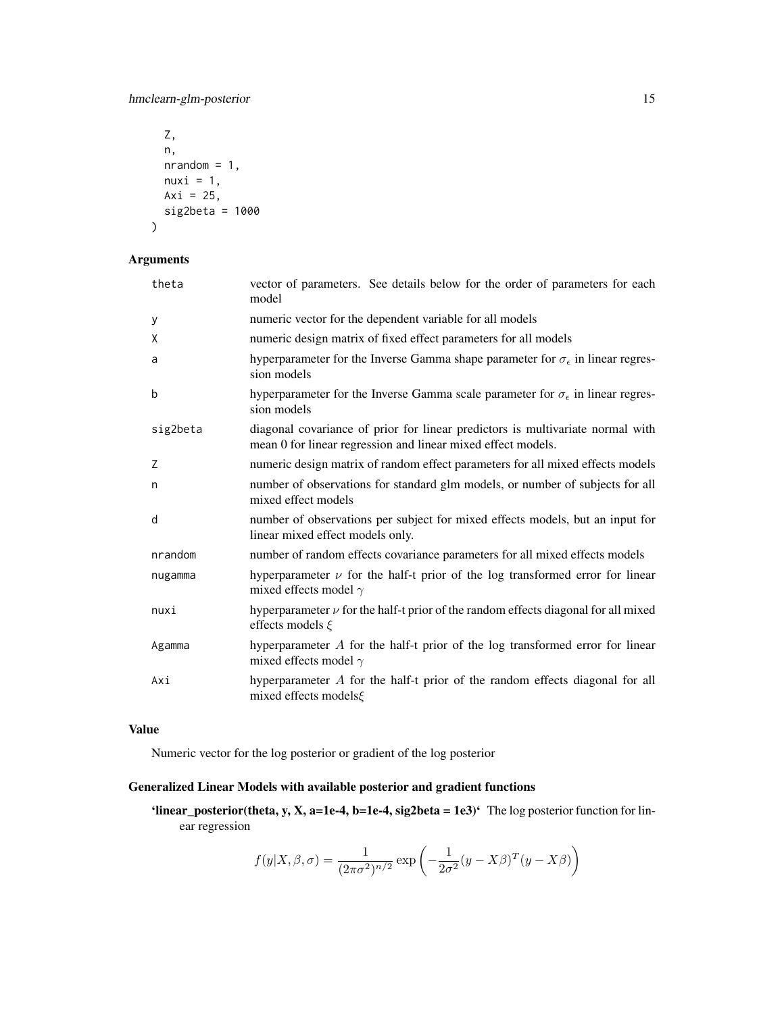hmclearn-glm-posterior 15

```
Z,
 n,
 nrandom = 1,
 nuxi = 1,
 Axi = 25,
 sig2beta = 1000
)
```
# Arguments

| theta    | vector of parameters. See details below for the order of parameters for each<br>model                                                          |
|----------|------------------------------------------------------------------------------------------------------------------------------------------------|
| У        | numeric vector for the dependent variable for all models                                                                                       |
| X        | numeric design matrix of fixed effect parameters for all models                                                                                |
| a        | hyperparameter for the Inverse Gamma shape parameter for $\sigma_{\epsilon}$ in linear regres-<br>sion models                                  |
| b        | hyperparameter for the Inverse Gamma scale parameter for $\sigma_{\epsilon}$ in linear regres-<br>sion models                                  |
| sig2beta | diagonal covariance of prior for linear predictors is multivariate normal with<br>mean 0 for linear regression and linear mixed effect models. |
| Z        | numeric design matrix of random effect parameters for all mixed effects models                                                                 |
| n        | number of observations for standard glm models, or number of subjects for all<br>mixed effect models                                           |
| d        | number of observations per subject for mixed effects models, but an input for<br>linear mixed effect models only.                              |
| nrandom  | number of random effects covariance parameters for all mixed effects models                                                                    |
| nugamma  | hyperparameter $\nu$ for the half-t prior of the log transformed error for linear<br>mixed effects model $\gamma$                              |
| nuxi     | hyperparameter $\nu$ for the half-t prior of the random effects diagonal for all mixed<br>effects models $\xi$                                 |
| Agamma   | hyperparameter A for the half-t prior of the log transformed error for linear<br>mixed effects model $\gamma$                                  |
| Axi      | hyperparameter A for the half-t prior of the random effects diagonal for all<br>mixed effects models&                                          |

# Value

Numeric vector for the log posterior or gradient of the log posterior

# Generalized Linear Models with available posterior and gradient functions

'linear\_posterior(theta, y, X, a=1e-4, b=1e-4, sig2beta = 1e3)' The log posterior function for linear regression

$$
f(y|X,\beta,\sigma) = \frac{1}{(2\pi\sigma^2)^{n/2}} \exp\left(-\frac{1}{2\sigma^2}(y - X\beta)^T(y - X\beta)\right)
$$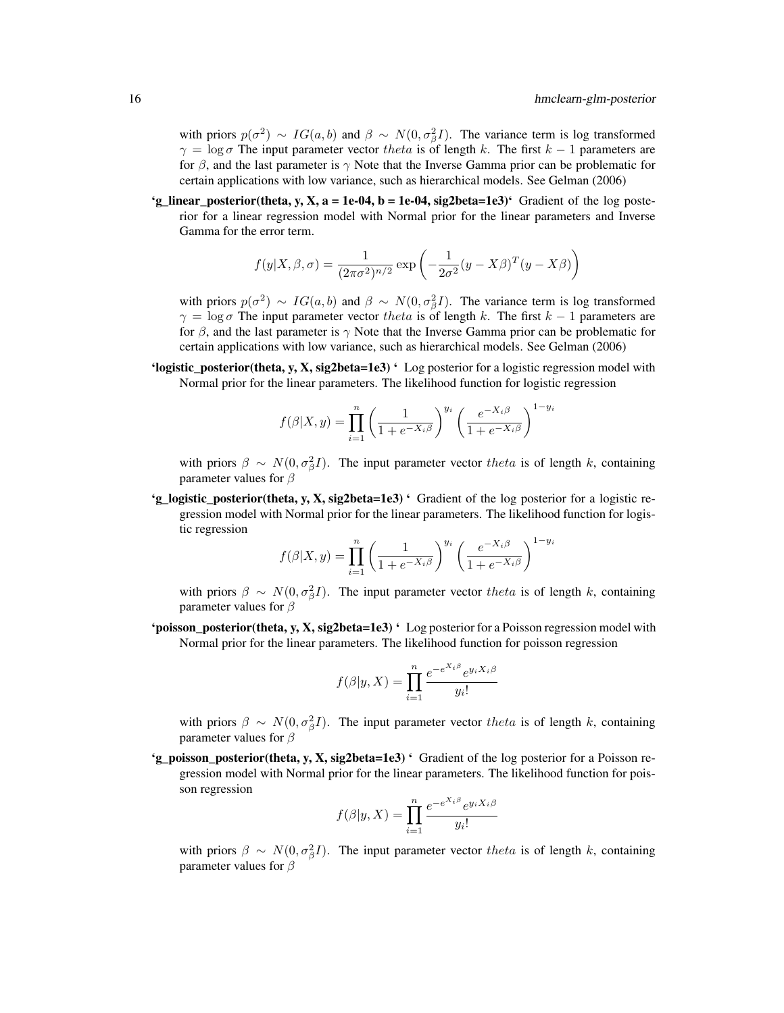with priors  $p(\sigma^2) \sim IG(a, b)$  and  $\beta \sim N(0, \sigma_\beta^2 I)$ . The variance term is log transformed  $\gamma = \log \sigma$  The input parameter vector theta is of length k. The first  $k - 1$  parameters are for  $\beta$ , and the last parameter is  $\gamma$  Note that the Inverse Gamma prior can be problematic for certain applications with low variance, such as hierarchical models. See Gelman (2006)

'g\_linear\_posterior(theta, y, X,  $a = 1e-04$ ,  $b = 1e-04$ , sig2beta=1e3)' Gradient of the log posterior for a linear regression model with Normal prior for the linear parameters and Inverse Gamma for the error term.

$$
f(y|X,\beta,\sigma) = \frac{1}{(2\pi\sigma^2)^{n/2}} \exp\left(-\frac{1}{2\sigma^2}(y - X\beta)^T(y - X\beta)\right)
$$

with priors  $p(\sigma^2) \sim IG(a, b)$  and  $\beta \sim N(0, \sigma_\beta^2 I)$ . The variance term is log transformed  $\gamma = \log \sigma$  The input parameter vector theta is of length k. The first k – 1 parameters are for  $\beta$ , and the last parameter is  $\gamma$  Note that the Inverse Gamma prior can be problematic for certain applications with low variance, such as hierarchical models. See Gelman (2006)

'logistic\_posterior(theta, y, X, sig2beta=1e3) ' Log posterior for a logistic regression model with Normal prior for the linear parameters. The likelihood function for logistic regression

$$
f(\beta|X,y) = \prod_{i=1}^{n} \left(\frac{1}{1+e^{-X_i\beta}}\right)^{y_i} \left(\frac{e^{-X_i\beta}}{1+e^{-X_i\beta}}\right)^{1-y_i}
$$

with priors  $\beta \sim N(0, \sigma_{\beta}^2 I)$ . The input parameter vector theta is of length k, containing parameter values for  $\beta$ 

'g\_logistic\_posterior(theta, y, X, sig2beta=1e3)  $\cdot$  Gradient of the log posterior for a logistic regression model with Normal prior for the linear parameters. The likelihood function for logistic regression

$$
f(\beta|X,y) = \prod_{i=1}^{n} \left(\frac{1}{1 + e^{-X_i \beta}}\right)^{y_i} \left(\frac{e^{-X_i \beta}}{1 + e^{-X_i \beta}}\right)^{1 - y_i}
$$

with priors  $\beta \sim N(0, \sigma_{\beta}^2 I)$ . The input parameter vector theta is of length k, containing parameter values for  $\beta$ 

'poisson\_posterior(theta, y, X, sig2beta=1e3) ' Log posterior for a Poisson regression model with Normal prior for the linear parameters. The likelihood function for poisson regression

$$
f(\beta|y,X) = \prod_{i=1}^{n} \frac{e^{-e^{X_i\beta}}e^{y_i X_i\beta}}{y_i!}
$$

with priors  $\beta \sim N(0, \sigma_{\beta}^2 I)$ . The input parameter vector theta is of length k, containing parameter values for  $\beta$ 

'g\_poisson\_posterior(theta, y, X, sig2beta=1e3) ' Gradient of the log posterior for a Poisson regression model with Normal prior for the linear parameters. The likelihood function for poisson regression

$$
f(\beta|y, X) = \prod_{i=1}^{n} \frac{e^{-e^{X_i \beta}} e^{y_i X_i \beta}}{y_i!}
$$

with priors  $\beta \sim N(0, \sigma_{\beta}^2 I)$ . The input parameter vector theta is of length k, containing parameter values for  $\beta$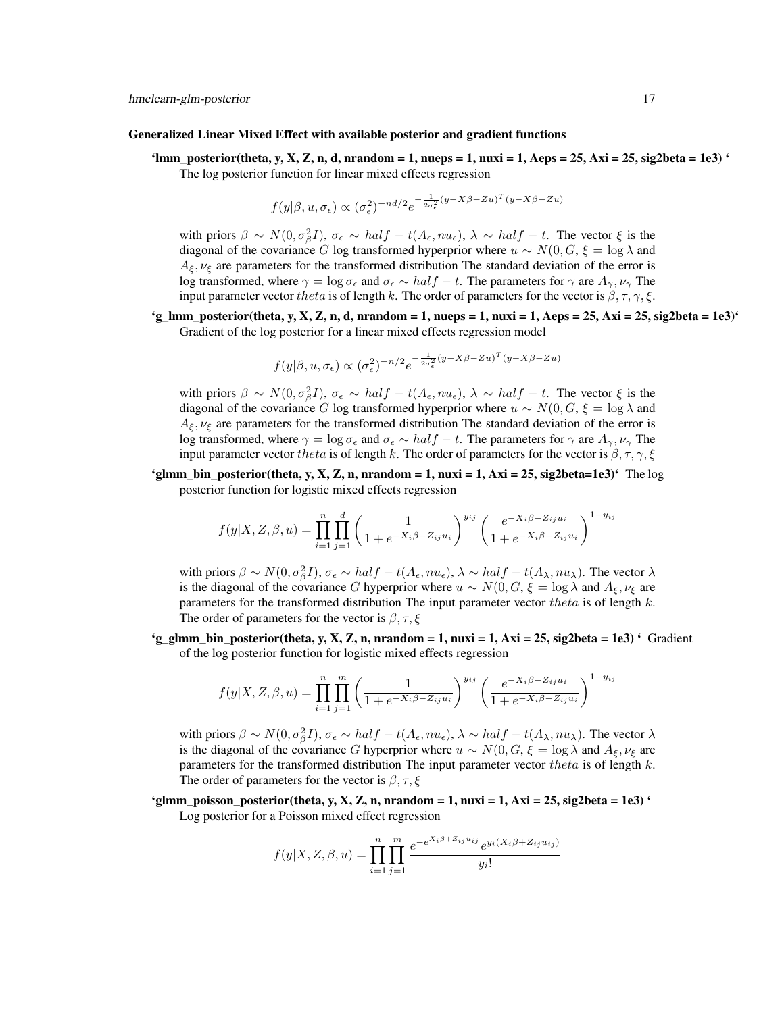#### Generalized Linear Mixed Effect with available posterior and gradient functions

'lmm\_posterior(theta, y, X, Z, n, d, nrandom = 1, nueps = 1, nuxi = 1, Aeps = 25, Axi = 25, sig2beta = 1e3) ' The log posterior function for linear mixed effects regression

$$
f(y|\beta, u, \sigma_{\epsilon}) \propto (\sigma_{\epsilon}^2)^{-nd/2} e^{-\frac{1}{2\sigma_{\epsilon}^2}(y - X\beta - Zu)^T(y - X\beta - Zu)}
$$

with priors  $\beta \sim N(0, \sigma_{\beta}^2 I)$ ,  $\sigma_{\epsilon} \sim half - t(A_{\epsilon}, nu_{\epsilon})$ ,  $\lambda \sim half - t$ . The vector  $\xi$  is the diagonal of the covariance G log transformed hyperprior where  $u \sim N(0, G, \xi = \log \lambda$  and  $A_{\xi}$ ,  $\nu_{\xi}$  are parameters for the transformed distribution The standard deviation of the error is log transformed, where  $\gamma = \log \sigma_{\epsilon}$  and  $\sigma_{\epsilon} \sim half - t$ . The parameters for  $\gamma$  are  $A_{\gamma}, \nu_{\gamma}$  The input parameter vector theta is of length k. The order of parameters for the vector is  $\beta$ ,  $\tau$ ,  $\gamma$ ,  $\xi$ .

 $g_{\text{m}}$  = posterior(theta, y, X, Z, n, d, nrandom = 1, nueps = 1, nuxi = 1, Aeps = 25, Axi = 25, sig2beta = 1e3)<sup>4</sup> Gradient of the log posterior for a linear mixed effects regression model

$$
f(y|\beta, u, \sigma_{\epsilon}) \propto (\sigma_{\epsilon}^2)^{-n/2} e^{-\frac{1}{2\sigma_{\epsilon}^2}(y - X\beta - Zu)^T(y - X\beta - Zu)}
$$

with priors  $\beta \sim N(0, \sigma_{\beta}^2 I)$ ,  $\sigma_{\epsilon} \sim half - t(A_{\epsilon}, nu_{\epsilon})$ ,  $\lambda \sim half - t$ . The vector  $\xi$  is the diagonal of the covariance G log transformed hyperprior where  $u \sim N(0, G, \xi = \log \lambda$  and  $A_{\xi}$ ,  $\nu_{\xi}$  are parameters for the transformed distribution The standard deviation of the error is log transformed, where  $\gamma = \log \sigma_{\epsilon}$  and  $\sigma_{\epsilon} \sim half - t$ . The parameters for  $\gamma$  are  $A_{\gamma}, \nu_{\gamma}$  The input parameter vector theta is of length k. The order of parameters for the vector is  $\beta, \tau, \gamma, \xi$ 

'glmm\_bin\_posterior(theta, y, X, Z, n, nrandom = 1, nuxi = 1, Axi = 25, sig2beta=1e3)<sup>'</sup> The log posterior function for logistic mixed effects regression

$$
f(y|X, Z, \beta, u) = \prod_{i=1}^{n} \prod_{j=1}^{d} \left( \frac{1}{1 + e^{-X_i \beta - Z_{ij} u_i}} \right)^{y_{ij}} \left( \frac{e^{-X_i \beta - Z_{ij} u_i}}{1 + e^{-X_i \beta - Z_{ij} u_i}} \right)^{1 - y_{ij}}
$$

with priors  $\beta \sim N(0, \sigma_{\beta}^2 I)$ ,  $\sigma_{\epsilon} \sim half - t(A_{\epsilon}, nu_{\epsilon})$ ,  $\lambda \sim half - t(A_{\lambda}, nu_{\lambda})$ . The vector  $\lambda$ is the diagonal of the covariance G hyperprior where  $u \sim N(0, G, \xi = \log \lambda$  and  $A_{\xi}, \nu_{\xi}$  are parameters for the transformed distribution The input parameter vector theta is of length  $k$ . The order of parameters for the vector is  $\beta$ ,  $\tau$ ,  $\xi$ 

'g\_glmm\_bin\_posterior(theta, y, X, Z, n, nrandom = 1, nuxi = 1, Axi = 25, sig2beta = 1e3) ' Gradient of the log posterior function for logistic mixed effects regression

$$
f(y|X, Z, \beta, u) = \prod_{i=1}^{n} \prod_{j=1}^{m} \left( \frac{1}{1 + e^{-X_i \beta - Z_{ij} u_i}} \right)^{y_{ij}} \left( \frac{e^{-X_i \beta - Z_{ij} u_i}}{1 + e^{-X_i \beta - Z_{ij} u_i}} \right)^{1 - y_{ij}}
$$

with priors  $\beta \sim N(0, \sigma_{\beta}^2 I)$ ,  $\sigma_{\epsilon} \sim half - t(A_{\epsilon}, nu_{\epsilon})$ ,  $\lambda \sim half - t(A_{\lambda}, nu_{\lambda})$ . The vector  $\lambda$ is the diagonal of the covariance G hyperprior where  $u \sim N(0, G, \xi = \log \lambda$  and  $A_{\xi}, \nu_{\xi}$  are parameters for the transformed distribution The input parameter vector theta is of length  $k$ . The order of parameters for the vector is  $\beta$ ,  $\tau$ ,  $\xi$ 

'glmm\_poisson\_posterior(theta, y, X, Z, n, nrandom = 1, nuxi = 1, Axi = 25, sig2beta = 1e3) ' Log posterior for a Poisson mixed effect regression

$$
f(y|X, Z, \beta, u) = \prod_{i=1}^{n} \prod_{j=1}^{m} \frac{e^{-e^{X_i \beta + Z_{ij} u_{ij}}} e^{y_i (X_i \beta + Z_{ij} u_{ij})}}{y_i!}
$$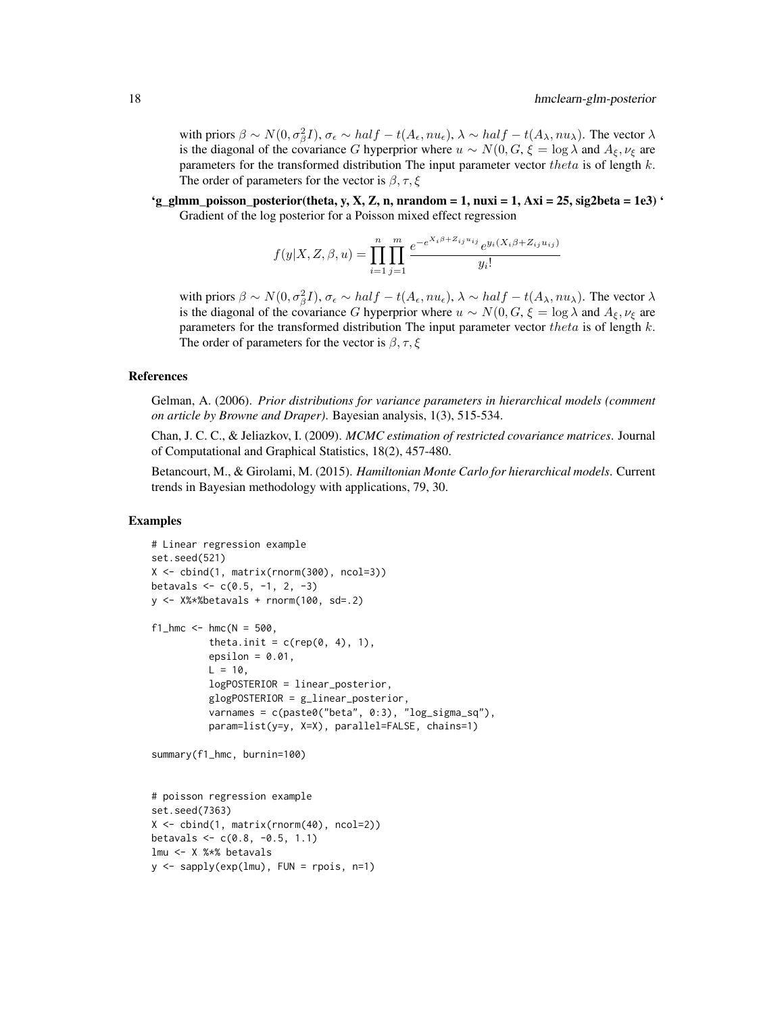with priors  $\beta \sim N(0, \sigma_{\beta}^2 I)$ ,  $\sigma_{\epsilon} \sim half - t(A_{\epsilon}, nu_{\epsilon})$ ,  $\lambda \sim half - t(A_{\lambda}, nu_{\lambda})$ . The vector  $\lambda$ is the diagonal of the covariance G hyperprior where  $u \sim N(0, G, \xi = \log \lambda$  and  $A_{\xi}, \nu_{\xi}$  are parameters for the transformed distribution. The input parameter vector theta is of length  $k$ . The order of parameters for the vector is  $\beta$ ,  $\tau$ ,  $\xi$ 

'g\_glmm\_poisson\_posterior(theta, y, X, Z, n, nrandom = 1, nuxi = 1, Axi = 25, sig2beta = 1e3)  $\prime$ Gradient of the log posterior for a Poisson mixed effect regression

$$
f(y|X, Z, \beta, u) = \prod_{i=1}^{n} \prod_{j=1}^{m} \frac{e^{-e^{X_i \beta + Z_{ij} u_{ij}}} e^{y_i (X_i \beta + Z_{ij} u_{ij})}}{y_i!}
$$

with priors  $\beta \sim N(0, \sigma_{\beta}^2 I)$ ,  $\sigma_{\epsilon} \sim half - t(A_{\epsilon}, nu_{\epsilon})$ ,  $\lambda \sim half - t(A_{\lambda}, nu_{\lambda})$ . The vector  $\lambda$ is the diagonal of the covariance G hyperprior where  $u \sim N(0, G, \xi = \log \lambda$  and  $A_{\xi}, \nu_{\xi}$  are parameters for the transformed distribution The input parameter vector theta is of length  $k$ . The order of parameters for the vector is  $\beta$ ,  $\tau$ ,  $\xi$ 

#### References

Gelman, A. (2006). *Prior distributions for variance parameters in hierarchical models (comment on article by Browne and Draper)*. Bayesian analysis, 1(3), 515-534.

Chan, J. C. C., & Jeliazkov, I. (2009). *MCMC estimation of restricted covariance matrices*. Journal of Computational and Graphical Statistics, 18(2), 457-480.

Betancourt, M., & Girolami, M. (2015). *Hamiltonian Monte Carlo for hierarchical models*. Current trends in Bayesian methodology with applications, 79, 30.

#### Examples

```
# Linear regression example
set.seed(521)
X <- cbind(1, matrix(rnorm(300), ncol=3))
betavals \leq c(0.5, -1, 2, -3)y <- X%*%betavals + rnorm(100, sd=.2)
f1_hmc <- hmc(N = 500,
          theta.init = c(rep(\theta, 4), 1),
          epsilon = 0.01,
          L = 10,
          logPOSTERIOR = linear_posterior,
          glogPOSTERIOR = g_linear_posterior,
          varnames = c(paste0("beta", 0:3), "log_sigma_sq"),
          param=list(y=y, X=X), parallel=FALSE, chains=1)
summary(f1_hmc, burnin=100)
# poisson regression example
set.seed(7363)
X <- cbind(1, matrix(rnorm(40), ncol=2))
betavals \leq c(0.8, -0.5, 1.1)lmu <- X %*% betavals
y <- sapply(exp(lmu), FUN = rpois, n=1)
```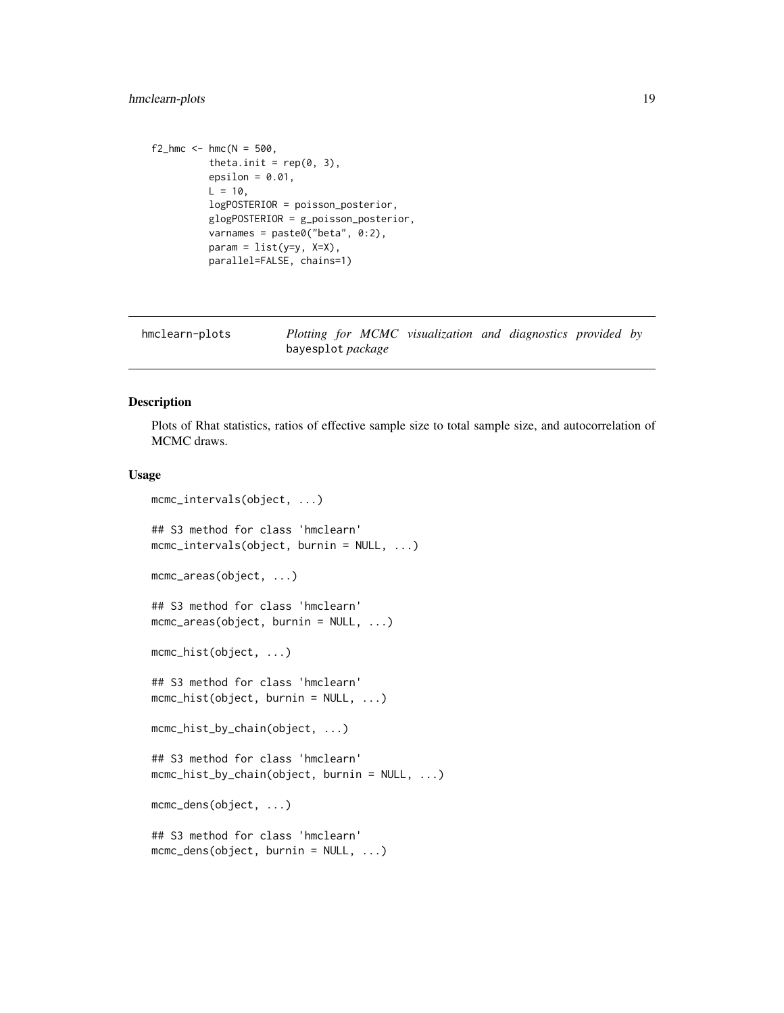# <span id="page-18-0"></span>hmclearn-plots 19

```
f2_hmc < - hmc(N = 500,theta.init = rep(0, 3),
         epsilon = 0.01,
         L = 10,
         logPOSTERIOR = poisson_posterior,
         glogPOSTERIOR = g_poisson_posterior,
         varnames = paste0("beta", 0:2),
         param = list(y=y, X=X),parallel=FALSE, chains=1)
```

| hmclearn-plots | Plotting for MCMC visualization and diagnostics provided by |  |  |  |
|----------------|-------------------------------------------------------------|--|--|--|
|                | bayesplot <i>package</i>                                    |  |  |  |

#### Description

Plots of Rhat statistics, ratios of effective sample size to total sample size, and autocorrelation of MCMC draws.

#### Usage

```
mcmc_intervals(object, ...)
## S3 method for class 'hmclearn'
mcmc_intervals(object, burnin = NULL, ...)
mcmc_areas(object, ...)
## S3 method for class 'hmclearn'
mcmc_areas(object, burnin = NULL, ...)
mcmc_hist(object, ...)
## S3 method for class 'hmclearn'
mcmc_hist(object, burnin = NULL, ...)
mcmc_hist_by_chain(object, ...)
## S3 method for class 'hmclearn'
mcmc_hist_by_chain(object, burnin = NULL, ...)
mcmc_dens(object, ...)
## S3 method for class 'hmclearn'
mcmc_dens(object, burnin = NULL, ...)
```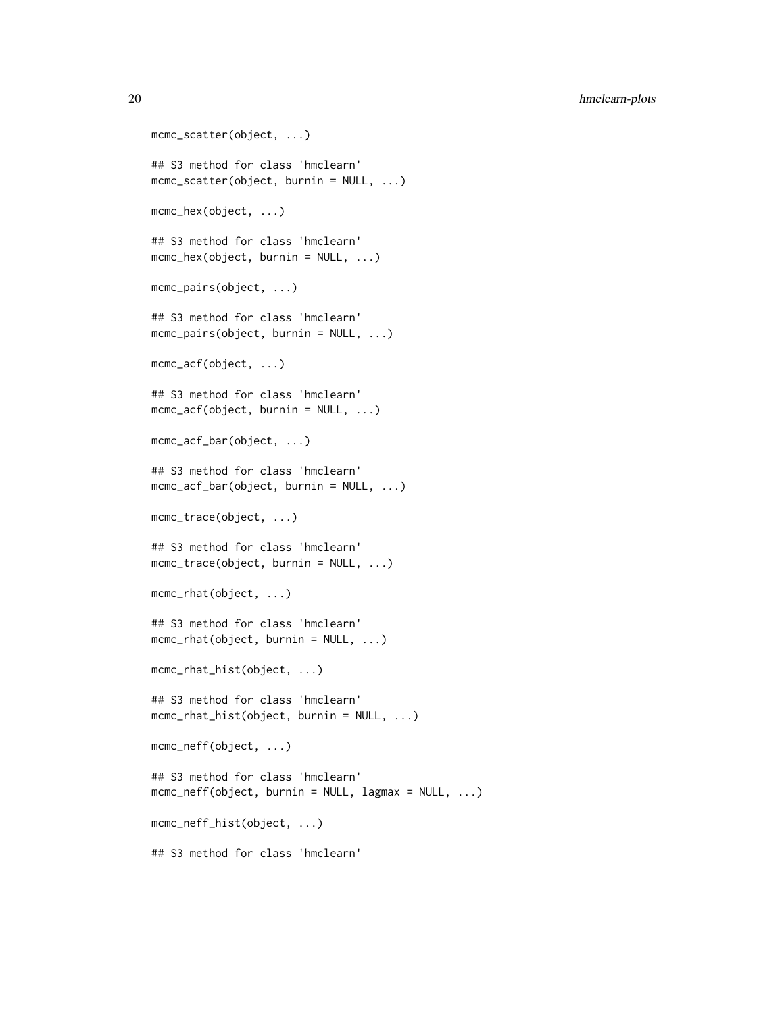20 hmclearn-plots

```
mcmc_scatter(object, ...)
## S3 method for class 'hmclearn'
mcmc_scatter(object, burnin = NULL, ...)
mcmc_hex(object, ...)
## S3 method for class 'hmclearn'
mcmc_hex(object, burnin = NULL, ...)
mcmc_pairs(object, ...)
## S3 method for class 'hmclearn'
mcmc_pairs(object, burnin = NULL, ...)
mcmc_acf(object, ...)
## S3 method for class 'hmclearn'
mcmc_2 acf(object, burnin = NULL, ...)
mcmc_acf_bar(object, ...)
## S3 method for class 'hmclearn'
mcmc_acf_bar(object, burnin = NULL, ...)
mcmc_trace(object, ...)
## S3 method for class 'hmclearn'
mcmc_trace(object, burnin = NULL, ...)
mcmc_rhat(object, ...)
## S3 method for class 'hmclearn'
mcmc_rhat(object, burnin = NULL, ...)
mcmc_rhat_hist(object, ...)
## S3 method for class 'hmclearn'
mcmc_rhat_hist(object, burnin = NULL, ...)
mcmc_neff(object, ...)
## S3 method for class 'hmclearn'
mcmc_{\text{ne}} f(object, burnin = NULL, lagmax = NULL, ...)
mcmc_neff_hist(object, ...)
## S3 method for class 'hmclearn'
```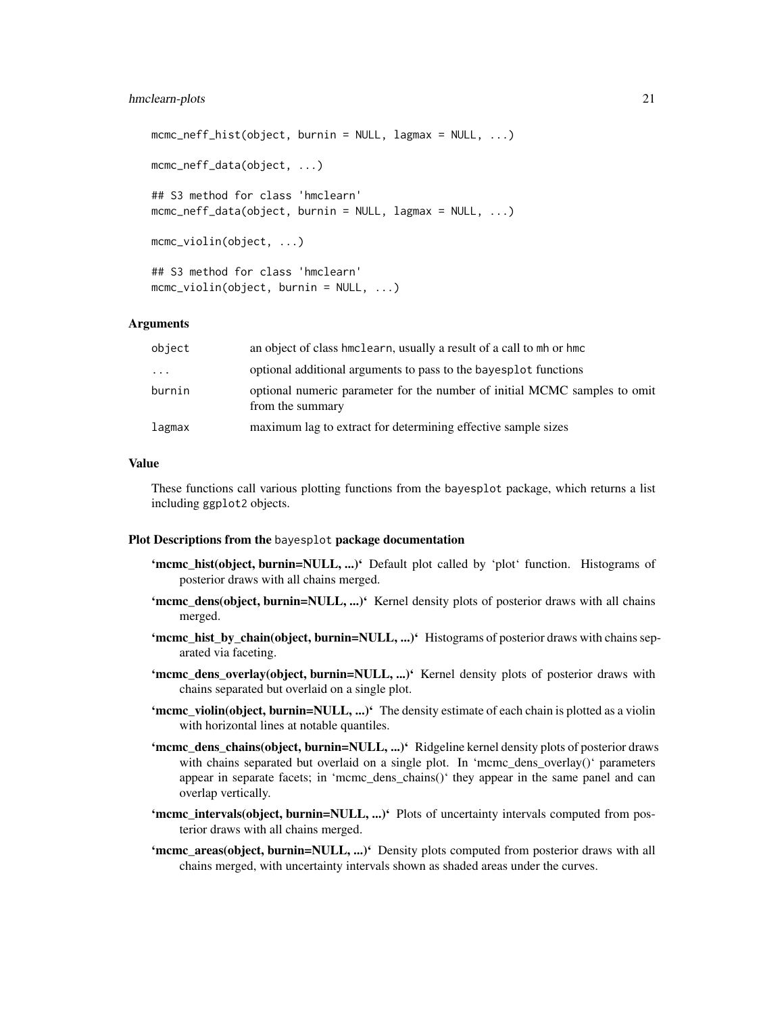#### hmclearn-plots 21

```
mcmc_neff_hist(object, burnin = NULL, lagmax = NULL, ...)
mcmc_neff_data(object, ...)
## S3 method for class 'hmclearn'
mcmc_neff_data(object, burnin = NULL, lagmax = NULL, ...)
mcmc_violin(object, ...)
## S3 method for class 'hmclearn'
mcmc_violin(object, burnin = NULL, ...)
```
# Arguments

| optional additional arguments to pass to the bayesplot functions<br>$\cdot$ $\cdot$ $\cdot$<br>burnin<br>optional numeric parameter for the number of initial MCMC samples to omit |  |
|------------------------------------------------------------------------------------------------------------------------------------------------------------------------------------|--|
|                                                                                                                                                                                    |  |
| from the summary                                                                                                                                                                   |  |
| maximum lag to extract for determining effective sample sizes<br>lagmax                                                                                                            |  |

# Value

These functions call various plotting functions from the bayesplot package, which returns a list including ggplot2 objects.

#### Plot Descriptions from the bayesplot package documentation

- 'mcmc\_hist(object, burnin=NULL, ...)' Default plot called by 'plot' function. Histograms of posterior draws with all chains merged.
- **'mcmc\_dens(object, burnin=NULL, ...)'** Kernel density plots of posterior draws with all chains merged.
- 'mcmc\_hist\_by\_chain(object, burnin=NULL, ...)' Histograms of posterior draws with chains separated via faceting.
- 'mcmc\_dens\_overlay(object, burnin=NULL, ...)' Kernel density plots of posterior draws with chains separated but overlaid on a single plot.
- 'mcmc\_violin(object, burnin=NULL, ...)' The density estimate of each chain is plotted as a violin with horizontal lines at notable quantiles.
- 'mcmc\_dens\_chains(object, burnin=NULL, ...)' Ridgeline kernel density plots of posterior draws with chains separated but overlaid on a single plot. In 'mcmc\_dens\_overlay()' parameters appear in separate facets; in 'mcmc\_dens\_chains()' they appear in the same panel and can overlap vertically.
- 'mcmc\_intervals(object, burnin=NULL, ...)' Plots of uncertainty intervals computed from posterior draws with all chains merged.
- 'mcmc\_areas(object, burnin=NULL, ...)' Density plots computed from posterior draws with all chains merged, with uncertainty intervals shown as shaded areas under the curves.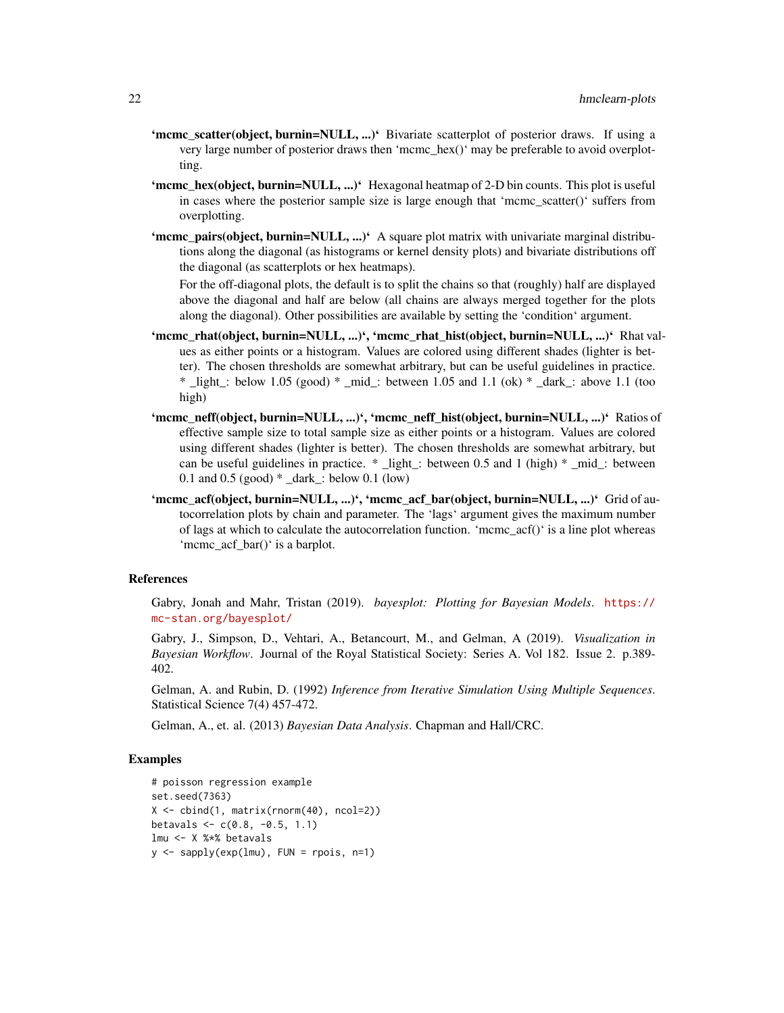- 'mcmc\_scatter(object, burnin=NULL, ...)' Bivariate scatterplot of posterior draws. If using a very large number of posterior draws then 'mcmc\_hex()' may be preferable to avoid overplotting.
- 'mcmc\_hex(object, burnin=NULL, ...)' Hexagonal heatmap of 2-D bin counts. This plot is useful in cases where the posterior sample size is large enough that 'mcmc\_scatter()' suffers from overplotting.
- 'mcmc\_pairs(object, burnin=NULL, ...)' A square plot matrix with univariate marginal distributions along the diagonal (as histograms or kernel density plots) and bivariate distributions off the diagonal (as scatterplots or hex heatmaps).

For the off-diagonal plots, the default is to split the chains so that (roughly) half are displayed above the diagonal and half are below (all chains are always merged together for the plots along the diagonal). Other possibilities are available by setting the 'condition' argument.

- 'mcmc\_rhat(object, burnin=NULL, ...)', 'mcmc\_rhat\_hist(object, burnin=NULL, ...)' Rhat values as either points or a histogram. Values are colored using different shades (lighter is better). The chosen thresholds are somewhat arbitrary, but can be useful guidelines in practice. \* light : below 1.05 (good) \* mid : between 1.05 and 1.1 (ok) \* dark : above 1.1 (too high)
- 'mcmc\_neff(object, burnin=NULL, ...)', 'mcmc\_neff\_hist(object, burnin=NULL, ...)' Ratios of effective sample size to total sample size as either points or a histogram. Values are colored using different shades (lighter is better). The chosen thresholds are somewhat arbitrary, but can be useful guidelines in practice. \* \_light\_: between 0.5 and 1 (high) \* \_mid\_: between 0.1 and 0.5 (good) \* \_dark\_: below 0.1 (low)
- 'mcmc\_acf(object, burnin=NULL, ...)', 'mcmc\_acf\_bar(object, burnin=NULL, ...)' Grid of autocorrelation plots by chain and parameter. The 'lags' argument gives the maximum number of lags at which to calculate the autocorrelation function. 'mcmc $\alpha$ cf()' is a line plot whereas 'mcmc\_acf\_bar()' is a barplot.

#### References

Gabry, Jonah and Mahr, Tristan (2019). *bayesplot: Plotting for Bayesian Models*. [https://](https://mc-stan.org/bayesplot/) [mc-stan.org/bayesplot/](https://mc-stan.org/bayesplot/)

Gabry, J., Simpson, D., Vehtari, A., Betancourt, M., and Gelman, A (2019). *Visualization in Bayesian Workflow*. Journal of the Royal Statistical Society: Series A. Vol 182. Issue 2. p.389- 402.

Gelman, A. and Rubin, D. (1992) *Inference from Iterative Simulation Using Multiple Sequences*. Statistical Science 7(4) 457-472.

Gelman, A., et. al. (2013) *Bayesian Data Analysis*. Chapman and Hall/CRC.

### Examples

```
# poisson regression example
set.seed(7363)
X <- cbind(1, matrix(rnorm(40), ncol=2))
betavals \leq c(0.8, -0.5, 1.1)lmu <- X %*% betavals
y <- sapply(exp(lmu), FUN = rpois, n=1)
```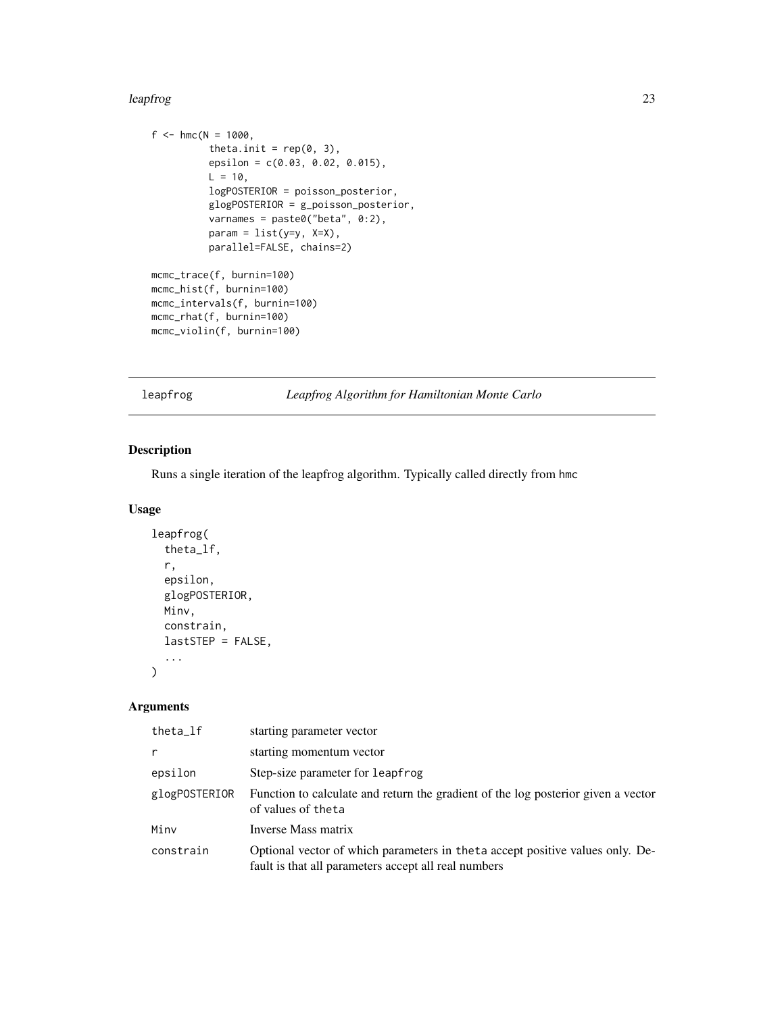#### <span id="page-22-0"></span>leapfrog 23

```
f <- hmc(N = 1000,theta.init = rep(0, 3),
         epsilon = c(0.03, 0.02, 0.015),
         L = 10,
         logPOSTERIOR = poisson_posterior,
          glogPOSTERIOR = g_poisson_posterior,
          varnames = paste0("beta", 0:2),
         param = list(y=y, X=X),parallel=FALSE, chains=2)
mcmc_trace(f, burnin=100)
mcmc_hist(f, burnin=100)
mcmc_intervals(f, burnin=100)
mcmc_rhat(f, burnin=100)
mcmc_violin(f, burnin=100)
```
leapfrog *Leapfrog Algorithm for Hamiltonian Monte Carlo*

# Description

Runs a single iteration of the leapfrog algorithm. Typically called directly from hmc

### Usage

```
leapfrog(
  theta_lf,
  r,
  epsilon,
  glogPOSTERIOR,
  Minv,
  constrain,
  lastSTEP = FALSE,
  ...
\mathcal{L}
```
# Arguments

| theta_lf      | starting parameter vector                                                                                                              |
|---------------|----------------------------------------------------------------------------------------------------------------------------------------|
| r             | starting momentum vector                                                                                                               |
| epsilon       | Step-size parameter for leapfrog                                                                                                       |
| glogPOSTERIOR | Function to calculate and return the gradient of the log posterior given a vector<br>of values of theta                                |
| Minv          | Inverse Mass matrix                                                                                                                    |
| constrain     | Optional vector of which parameters in the ta accept positive values only. De-<br>fault is that all parameters accept all real numbers |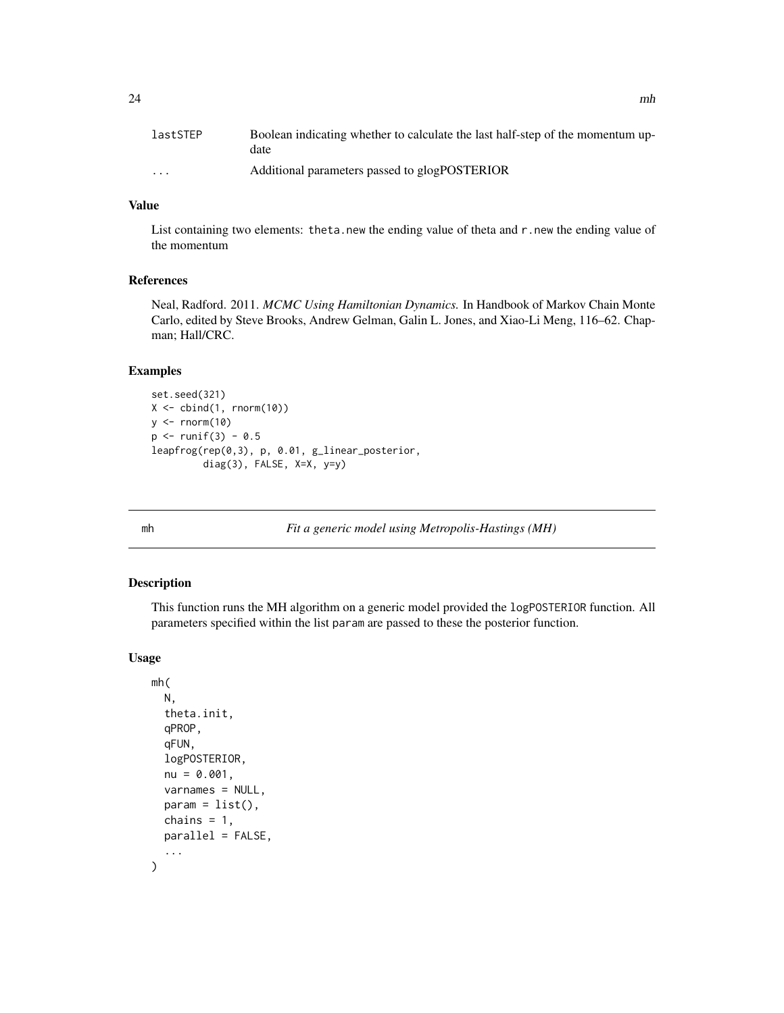<span id="page-23-0"></span>

| lastSTEP                | Boolean indicating whether to calculate the last half-step of the momentum up-<br>date |
|-------------------------|----------------------------------------------------------------------------------------|
| $\cdot$ $\cdot$ $\cdot$ | Additional parameters passed to glogPOSTERIOR                                          |

# Value

List containing two elements: theta.new the ending value of theta and r.new the ending value of the momentum

# References

Neal, Radford. 2011. *MCMC Using Hamiltonian Dynamics.* In Handbook of Markov Chain Monte Carlo, edited by Steve Brooks, Andrew Gelman, Galin L. Jones, and Xiao-Li Meng, 116–62. Chapman; Hall/CRC.

#### Examples

```
set.seed(321)
X \leftarrow \text{cbind}(1, \text{rnorm}(10))y \leftarrow \text{norm}(10)p \le -runif(3) - 0.5
leapfrog(rep(0,3), p, 0.01, g_linear_posterior,
           diag(3), FALSE, X=X, y=y)
```
mh *Fit a generic model using Metropolis-Hastings (MH)*

# Description

This function runs the MH algorithm on a generic model provided the logPOSTERIOR function. All parameters specified within the list param are passed to these the posterior function.

#### Usage

```
mh(
  N,
  theta.init,
  qPROP,
  qFUN,
  logPOSTERIOR,
  nu = 0.001,varnames = NULL,
  param = list(),chains = 1,
  parallel = FALSE,
  ...
)
```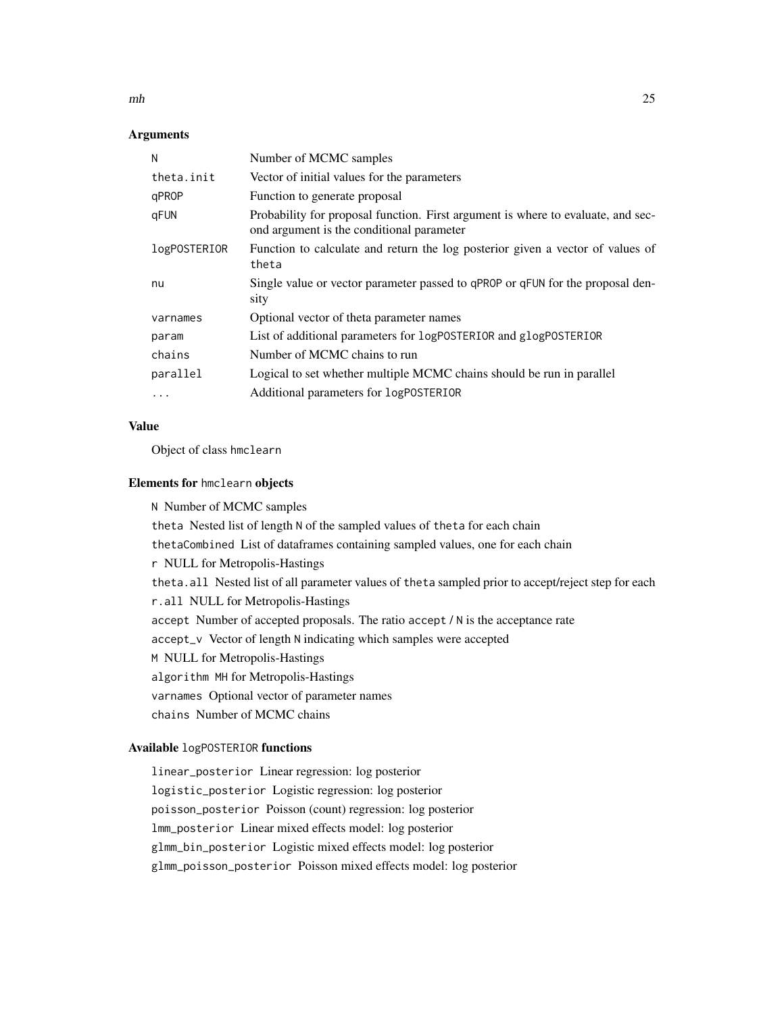$m<sub>h</sub>$  25

## Arguments

| N            | Number of MCMC samples                                                                                                        |
|--------------|-------------------------------------------------------------------------------------------------------------------------------|
| theta.init   | Vector of initial values for the parameters                                                                                   |
| qPROP        | Function to generate proposal                                                                                                 |
| gFUN         | Probability for proposal function. First argument is where to evaluate, and sec-<br>ond argument is the conditional parameter |
| logPOSTERIOR | Function to calculate and return the log posterior given a vector of values of<br>theta                                       |
| nu           | Single value or vector parameter passed to qPROP or qFUN for the proposal den-<br>sity                                        |
| varnames     | Optional vector of theta parameter names                                                                                      |
| param        | List of additional parameters for logPOSTERIOR and glogPOSTERIOR                                                              |
| chains       | Number of MCMC chains to run                                                                                                  |
| parallel     | Logical to set whether multiple MCMC chains should be run in parallel                                                         |
| $\cdots$     | Additional parameters for LogPOSTERIOR                                                                                        |

#### Value

Object of class hmclearn

#### Elements for hmclearn objects

N Number of MCMC samples theta Nested list of length N of the sampled values of theta for each chain thetaCombined List of dataframes containing sampled values, one for each chain r NULL for Metropolis-Hastings theta.all Nested list of all parameter values of theta sampled prior to accept/reject step for each r.all NULL for Metropolis-Hastings accept Number of accepted proposals. The ratio accept / N is the acceptance rate accept\_v Vector of length N indicating which samples were accepted M NULL for Metropolis-Hastings algorithm MH for Metropolis-Hastings varnames Optional vector of parameter names chains Number of MCMC chains

# Available logPOSTERIOR functions

linear\_posterior Linear regression: log posterior logistic\_posterior Logistic regression: log posterior poisson\_posterior Poisson (count) regression: log posterior lmm\_posterior Linear mixed effects model: log posterior glmm\_bin\_posterior Logistic mixed effects model: log posterior glmm\_poisson\_posterior Poisson mixed effects model: log posterior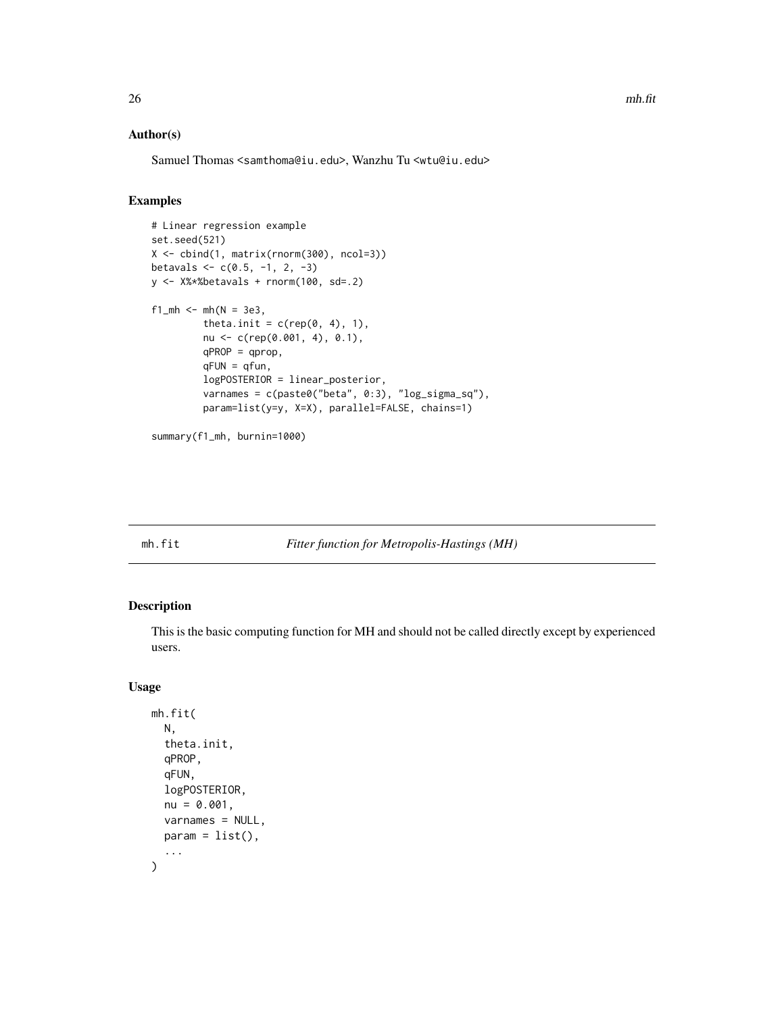# <span id="page-25-0"></span>Author(s)

Samuel Thomas <samthoma@iu.edu>, Wanzhu Tu <wtu@iu.edu>

# Examples

```
# Linear regression example
set.seed(521)
X <- cbind(1, matrix(rnorm(300), ncol=3))
betavals \leq c(0.5, -1, 2, -3)y <- X%*%betavals + rnorm(100, sd=.2)
f1_mh <- mh(N = 3e3,theta.init = c(rep(\theta, 4), 1),
         nu <- c(rep(0.001, 4), 0.1),
         qPROP = qprop,
         qFUN = qfun,
         logPOSTERIOR = linear_posterior,
         varnames = c(paste0("beta", 0:3), "log_sigma_sq"),
         param=list(y=y, X=X), parallel=FALSE, chains=1)
```

```
summary(f1_mh, burnin=1000)
```
#### mh.fit *Fitter function for Metropolis-Hastings (MH)*

# Description

This is the basic computing function for MH and should not be called directly except by experienced users.

#### Usage

```
mh.fit(
  N,
  theta.init,
  qPROP,
  qFUN,
  logPOSTERIOR,
 nu = 0.001,
  varnames = NULL,
 param = list(),...
)
```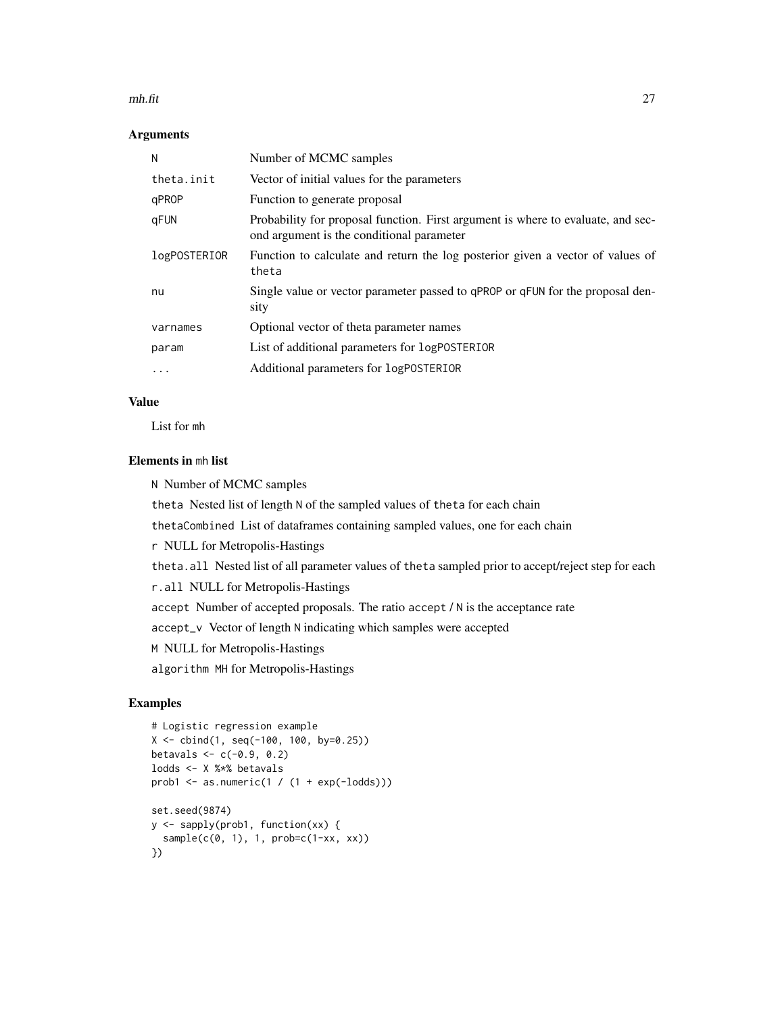#### mh.fit 27

# Arguments

| N            | Number of MCMC samples                                                                                                        |
|--------------|-------------------------------------------------------------------------------------------------------------------------------|
| theta.init   | Vector of initial values for the parameters                                                                                   |
| qPROP        | Function to generate proposal                                                                                                 |
| qFUN         | Probability for proposal function. First argument is where to evaluate, and sec-<br>ond argument is the conditional parameter |
| logPOSTERIOR | Function to calculate and return the log posterior given a vector of values of<br>theta                                       |
| nu           | Single value or vector parameter passed to qPROP or qFUN for the proposal den-<br>sity                                        |
| varnames     | Optional vector of theta parameter names                                                                                      |
| param        | List of additional parameters for logPOSTERIOR                                                                                |
| .            | Additional parameters for logPOSTERIOR                                                                                        |

# Value

List for mh

# Elements in mh list

N Number of MCMC samples

theta Nested list of length N of the sampled values of theta for each chain

thetaCombined List of dataframes containing sampled values, one for each chain

r NULL for Metropolis-Hastings

theta.all Nested list of all parameter values of theta sampled prior to accept/reject step for each

r.all NULL for Metropolis-Hastings

accept Number of accepted proposals. The ratio accept / N is the acceptance rate

accept\_v Vector of length N indicating which samples were accepted

M NULL for Metropolis-Hastings

algorithm MH for Metropolis-Hastings

# Examples

```
# Logistic regression example
X <- cbind(1, seq(-100, 100, by=0.25))
betavals <-c(-0.9, 0.2)lodds <- X %*% betavals
prob1 \leq as.numeric(1 / (1 + exp(-lodds)))
set.seed(9874)
y <- sapply(prob1, function(xx) {
  sample(c(0, 1), 1, probe(c(1-xx, xx))})
```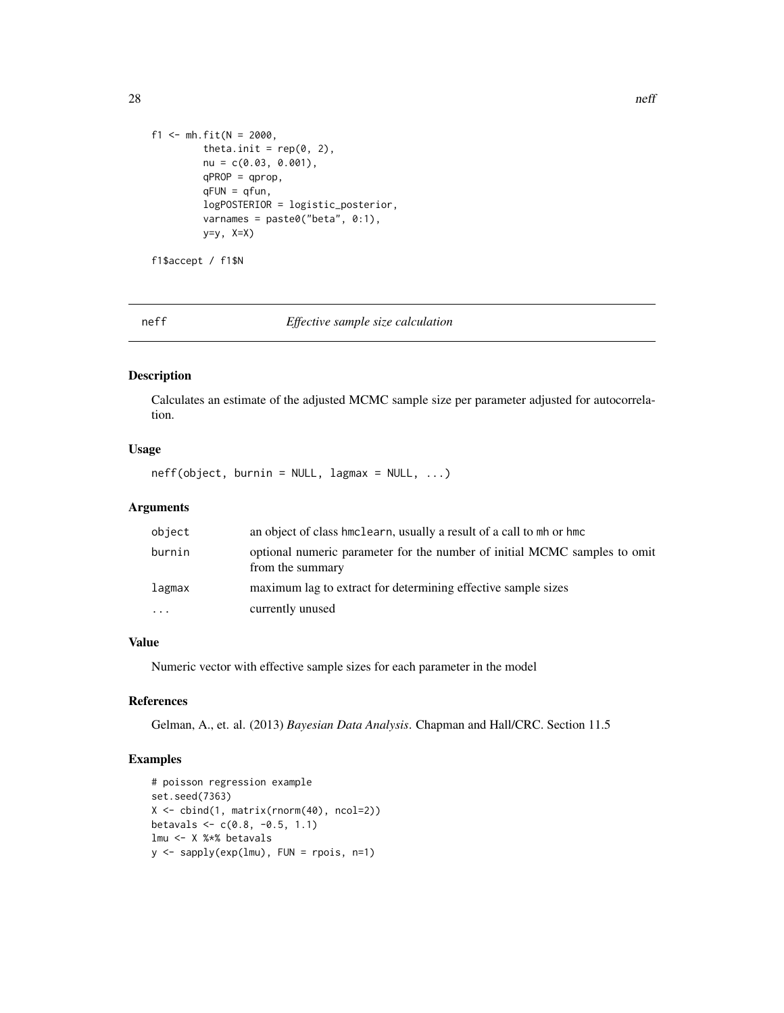```
f1 <- mh.fit(N = 2000,
        theta.init = rep(0, 2),
        nu = c(0.03, 0.001),qPROP = qprop,
        qFUN = qfun,logPOSTERIOR = logistic_posterior,
        varnames = paste0("beta", 0:1),
        y=y, X=X)
```
f1\$accept / f1\$N

neff *Effective sample size calculation*

#### Description

Calculates an estimate of the adjusted MCMC sample size per parameter adjusted for autocorrelation.

# Usage

 $neff(object, burnin = NULL, lagmax = NULL, ...)$ 

# Arguments

| object                  | an object of class hmclearn, usually a result of a call to mh or hmc                          |
|-------------------------|-----------------------------------------------------------------------------------------------|
| burnin                  | optional numeric parameter for the number of initial MCMC samples to omit<br>from the summary |
| lagmax                  | maximum lag to extract for determining effective sample sizes                                 |
| $\cdot$ $\cdot$ $\cdot$ | currently unused                                                                              |

# Value

Numeric vector with effective sample sizes for each parameter in the model

#### References

Gelman, A., et. al. (2013) *Bayesian Data Analysis*. Chapman and Hall/CRC. Section 11.5

# Examples

```
# poisson regression example
set.seed(7363)
X <- cbind(1, matrix(rnorm(40), ncol=2))
betavals \leq c(0.8, -0.5, 1.1)lmu <- X %*% betavals
y \leq - sapply(exp(lmu), FUN = rpois, n=1)
```
<span id="page-27-0"></span>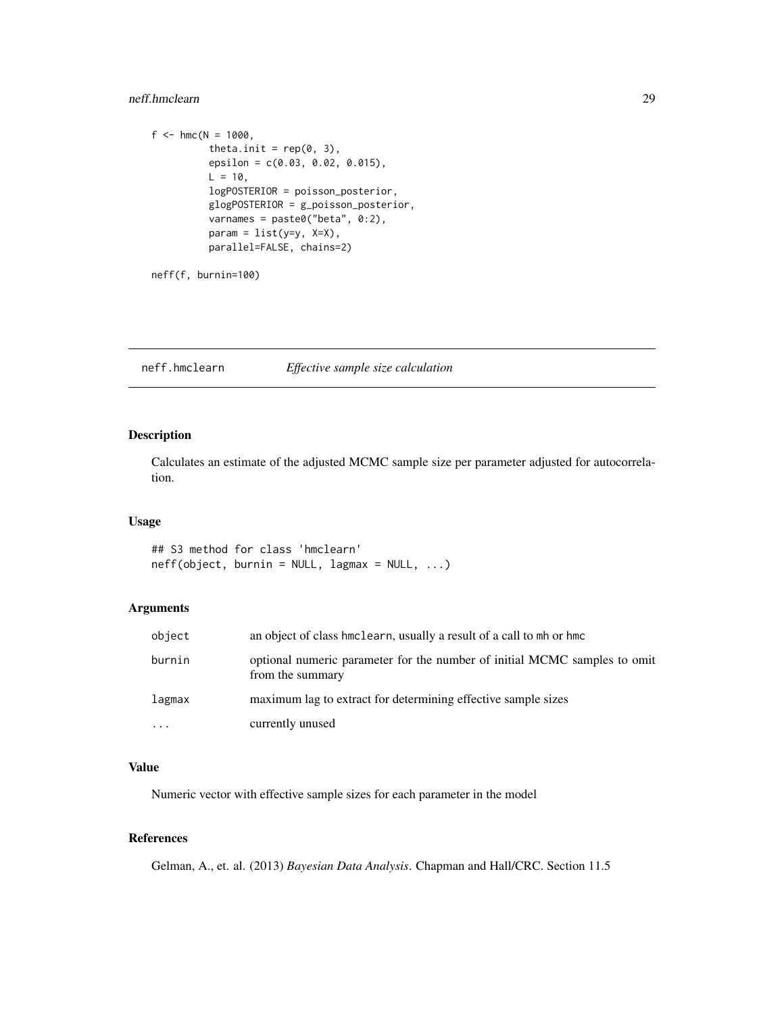# <span id="page-28-0"></span>neff.hmclearn 29

```
f <- hmc(N = 1000,theta.init = rep(0, 3),
         epsilon = c(0.03, 0.02, 0.015),
         L = 10,
         logPOSTERIOR = poisson_posterior,
         glogPOSTERIOR = g_poisson_posterior,
         varnames = paste0("beta", 0:2),
         param = list(y=y, X=X),parallel=FALSE, chains=2)
```
neff(f, burnin=100)

neff.hmclearn *Effective sample size calculation*

# Description

Calculates an estimate of the adjusted MCMC sample size per parameter adjusted for autocorrelation.

# Usage

## S3 method for class 'hmclearn'  $neff(object, burnin = NULL, lagmax = NULL, ...)$ 

# Arguments

| object    | an object of class hmclearn, usually a result of a call to mh or hmc                          |
|-----------|-----------------------------------------------------------------------------------------------|
| burnin    | optional numeric parameter for the number of initial MCMC samples to omit<br>from the summary |
| lagmax    | maximum lag to extract for determining effective sample sizes                                 |
| $\ddotsc$ | currently unused                                                                              |

# Value

Numeric vector with effective sample sizes for each parameter in the model

# References

Gelman, A., et. al. (2013) *Bayesian Data Analysis*. Chapman and Hall/CRC. Section 11.5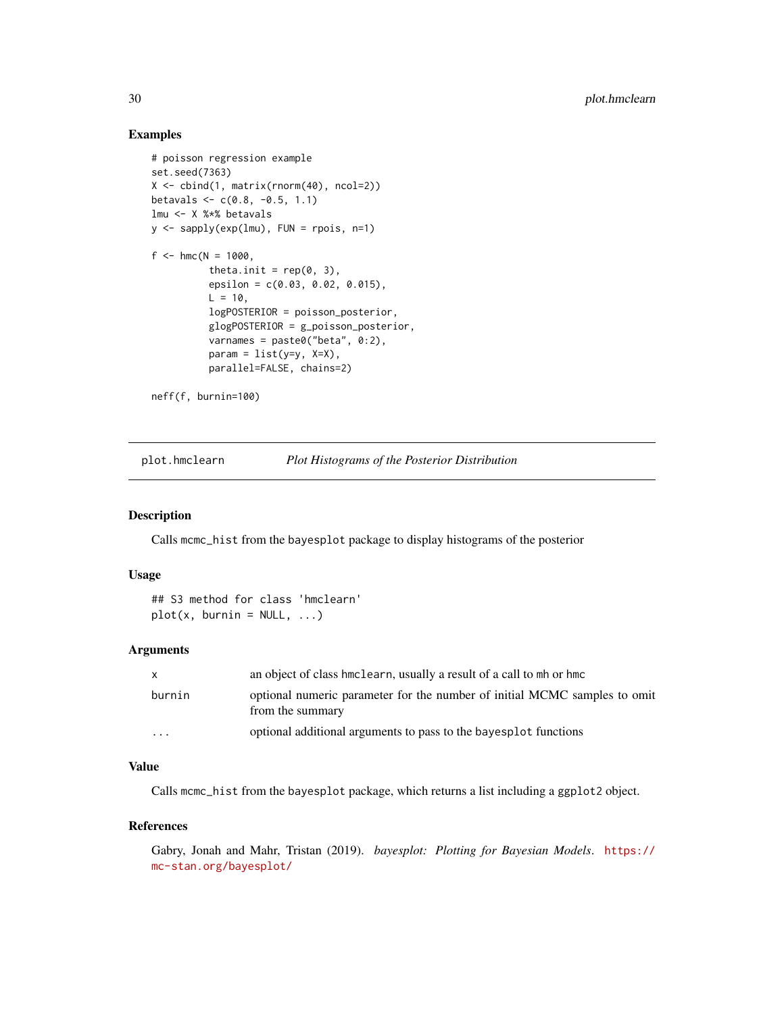## Examples

```
# poisson regression example
set.seed(7363)
X <- cbind(1, matrix(rnorm(40), ncol=2))
betavals \leq c(0.8, -0.5, 1.1)lmu <- X %*% betavals
y <- sapply(exp(lmu), FUN = rpois, n=1)
f <- hmc(N = 1000,
          theta.init = rep(0, 3),
          epsilon = c(0.03, 0.02, 0.015),
          L = 10,
          logPOSTERIOR = poisson_posterior,
          glogPOSTERIOR = g_poisson_posterior,
          varnames = past@("beta", 0:2),
          param = list(y=y, X=X),
          parallel=FALSE, chains=2)
neff(f, burnin=100)
```
plot.hmclearn *Plot Histograms of the Posterior Distribution*

#### Description

Calls mcmc\_hist from the bayesplot package to display histograms of the posterior

#### Usage

```
## S3 method for class 'hmclearn'
plot(x, burnin = NULL, ...)
```
#### Arguments

| $\mathsf{x}$ | an object of class hmclearn, usually a result of a call to mh or hmc                          |
|--------------|-----------------------------------------------------------------------------------------------|
| burnin       | optional numeric parameter for the number of initial MCMC samples to omit<br>from the summary |
| $\cdot$      | optional additional arguments to pass to the bayesplot functions                              |

# Value

Calls mcmc\_hist from the bayesplot package, which returns a list including a ggplot2 object.

#### References

Gabry, Jonah and Mahr, Tristan (2019). *bayesplot: Plotting for Bayesian Models*. [https://](https://mc-stan.org/bayesplot/) [mc-stan.org/bayesplot/](https://mc-stan.org/bayesplot/)

<span id="page-29-0"></span>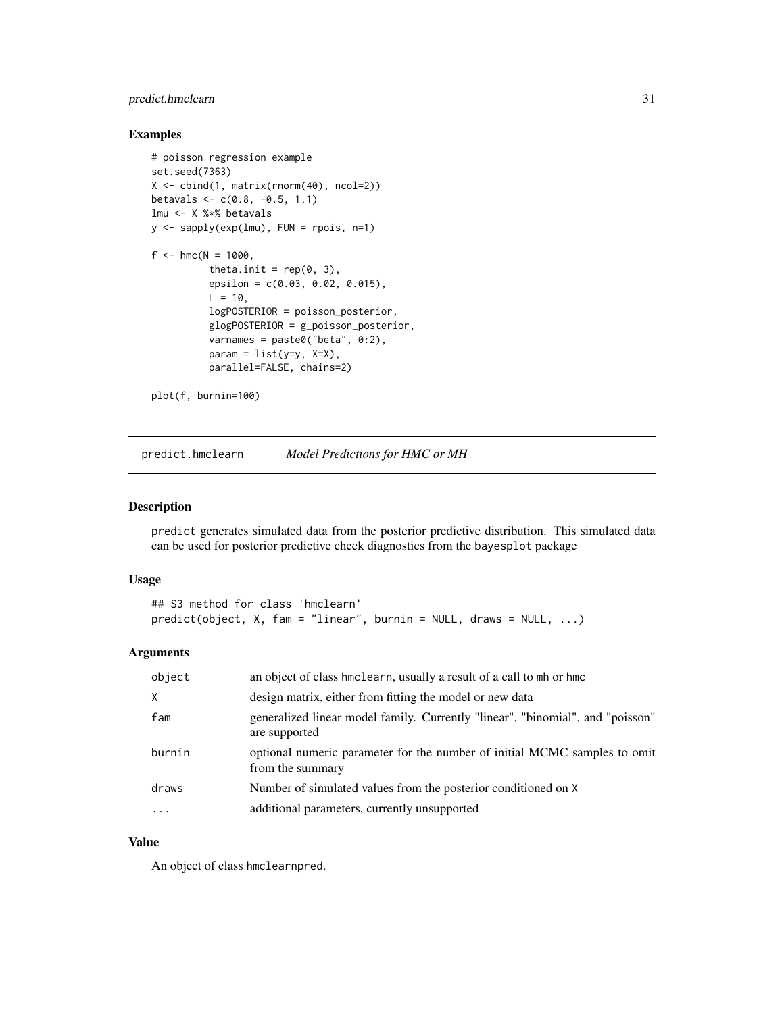# <span id="page-30-0"></span>predict.hmclearn 31

#### Examples

```
# poisson regression example
set.seed(7363)
X <- cbind(1, matrix(rnorm(40), ncol=2))
betavals \leq c(0.8, -0.5, 1.1)lmu <- X %*% betavals
y <- sapply(exp(lmu), FUN = rpois, n=1)
f <- hmc(N = 1000,theta.init = rep(0, 3),
          epsilon = c(0.03, 0.02, 0.015),
          L = 10,
          logPOSTERIOR = poisson_posterior,
          glogPOSTERIOR = g_poisson_posterior,
          varnames = paste0("beta", 0:2),
          param = list(y=y, X=X),
          parallel=FALSE, chains=2)
plot(f, burnin=100)
```
predict.hmclearn *Model Predictions for HMC or MH*

# Description

predict generates simulated data from the posterior predictive distribution. This simulated data can be used for posterior predictive check diagnostics from the bayesplot package

#### Usage

```
## S3 method for class 'hmclearn'
predict(object, X, fam = "linear", burnin = NULL, draws = NULL, ...)
```
# Arguments

| object              | an object of class hmclearn, usually a result of a call to mh or hmc                            |
|---------------------|-------------------------------------------------------------------------------------------------|
| X                   | design matrix, either from fitting the model or new data                                        |
| fam                 | generalized linear model family. Currently "linear", "binomial", and "poisson"<br>are supported |
| burnin              | optional numeric parameter for the number of initial MCMC samples to omit<br>from the summary   |
| draws               | Number of simulated values from the posterior conditioned on X                                  |
| $\cdot \cdot \cdot$ | additional parameters, currently unsupported                                                    |

### Value

An object of class hmclearnpred.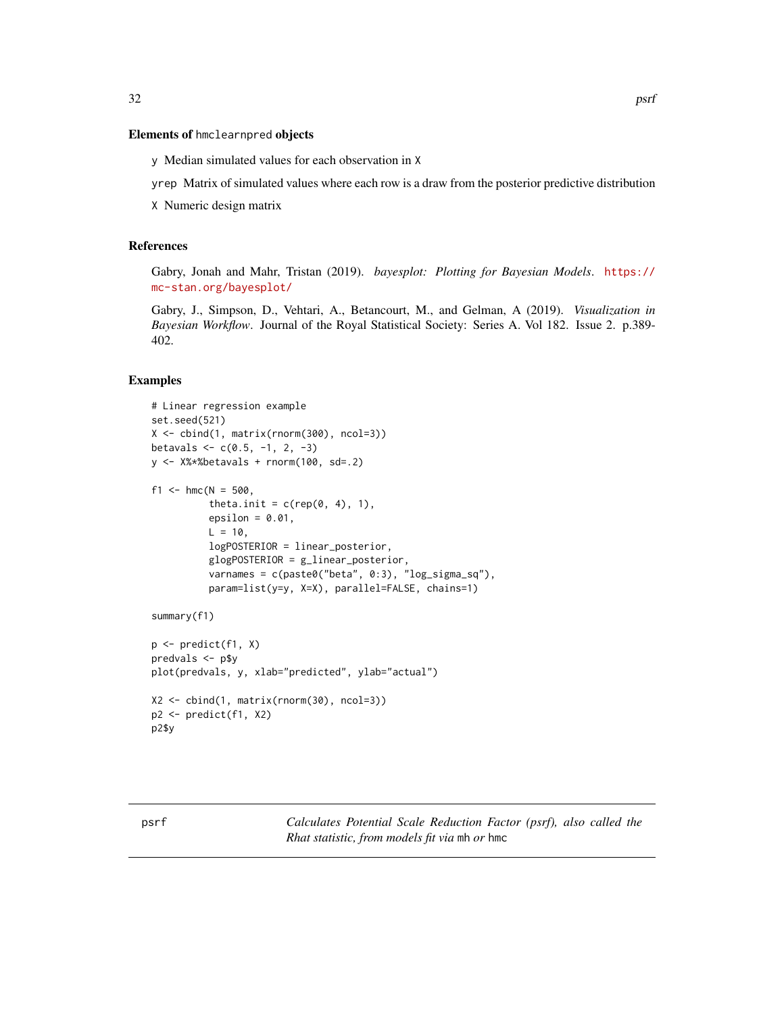# <span id="page-31-0"></span>Elements of hmclearnpred objects

y Median simulated values for each observation in X

yrep Matrix of simulated values where each row is a draw from the posterior predictive distribution

X Numeric design matrix

# References

Gabry, Jonah and Mahr, Tristan (2019). *bayesplot: Plotting for Bayesian Models*. [https://](https://mc-stan.org/bayesplot/) [mc-stan.org/bayesplot/](https://mc-stan.org/bayesplot/)

Gabry, J., Simpson, D., Vehtari, A., Betancourt, M., and Gelman, A (2019). *Visualization in Bayesian Workflow*. Journal of the Royal Statistical Society: Series A. Vol 182. Issue 2. p.389- 402.

#### Examples

```
# Linear regression example
set.seed(521)
X <- cbind(1, matrix(rnorm(300), ncol=3))
betavals \leq c(0.5, -1, 2, -3)y \le -X%*%betavals + rnorm(100, sd=.2)
f1 <- hmc(N = 500,
          theta.init = c(rep(\theta, 4), 1),
          epsilon = 0.01,
          L = 10,
          logPOSTERIOR = linear_posterior,
          glogPOSTERIOR = g_linear_posterior,
          varnames = c(paste0("beta", 0:3), "log_sigma_sq"),
          param=list(y=y, X=X), parallel=FALSE, chains=1)
summary(f1)
p \leftarrow \text{predict}(f1, X)predvals < - p$y
plot(predvals, y, xlab="predicted", ylab="actual")
X2 <- cbind(1, matrix(rnorm(30), ncol=3))
p2 <- predict(f1, X2)
p2$y
```
psrf *Calculates Potential Scale Reduction Factor (psrf), also called the Rhat statistic, from models fit via* mh *or* hmc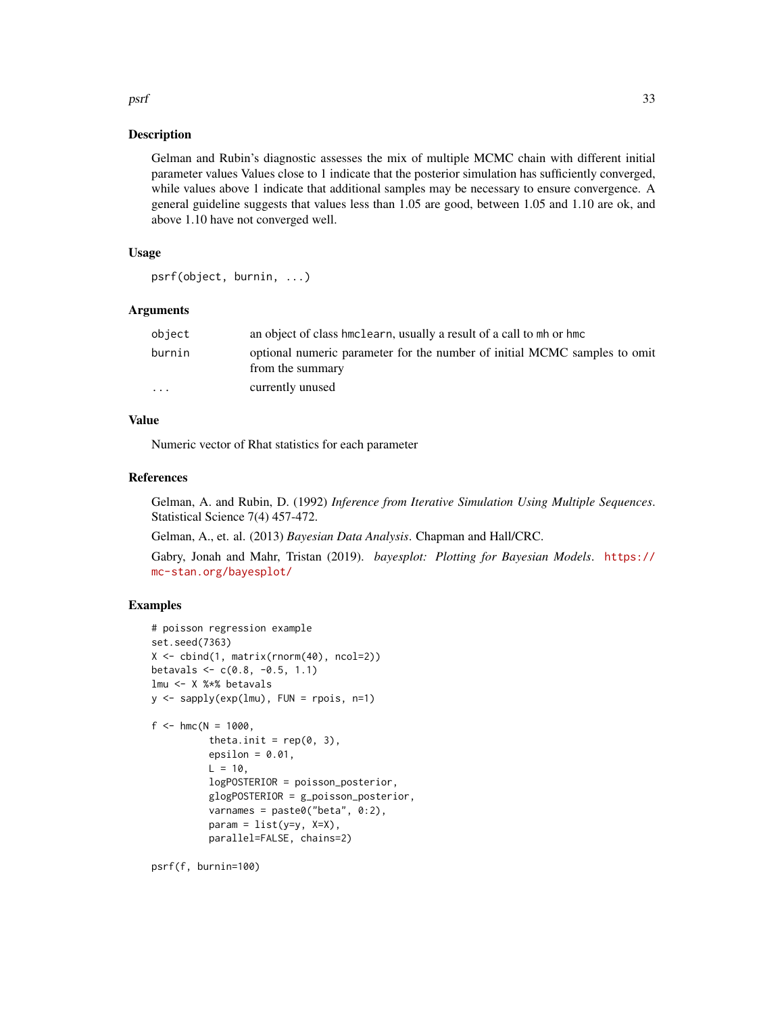# Description

Gelman and Rubin's diagnostic assesses the mix of multiple MCMC chain with different initial parameter values Values close to 1 indicate that the posterior simulation has sufficiently converged, while values above 1 indicate that additional samples may be necessary to ensure convergence. A general guideline suggests that values less than 1.05 are good, between 1.05 and 1.10 are ok, and above 1.10 have not converged well.

# Usage

```
psrf(object, burnin, ...)
```
#### Arguments

| object                  | an object of class hmclearn, usually a result of a call to mh or hmc                          |
|-------------------------|-----------------------------------------------------------------------------------------------|
| burnin                  | optional numeric parameter for the number of initial MCMC samples to omit<br>from the summary |
| $\cdot$ $\cdot$ $\cdot$ | currently unused                                                                              |

# Value

Numeric vector of Rhat statistics for each parameter

### References

Gelman, A. and Rubin, D. (1992) *Inference from Iterative Simulation Using Multiple Sequences*. Statistical Science 7(4) 457-472.

Gelman, A., et. al. (2013) *Bayesian Data Analysis*. Chapman and Hall/CRC.

Gabry, Jonah and Mahr, Tristan (2019). *bayesplot: Plotting for Bayesian Models*. [https://](https://mc-stan.org/bayesplot/) [mc-stan.org/bayesplot/](https://mc-stan.org/bayesplot/)

# Examples

```
# poisson regression example
set.seed(7363)
X <- cbind(1, matrix(rnorm(40), ncol=2))
betavals \leq c(0.8, -0.5, 1.1)lmu <- X %*% betavals
y \le - sapply(exp(lmu), FUN = rpois, n=1)
f <- hmc(N = 1000,
          theta.init = rep(0, 3),
          epsilon = 0.01,
          L = 10,logPOSTERIOR = poisson_posterior,
          glogPOSTERIOR = g_poisson_posterior,
          varnames = paste0("beta", 0:2),
          param = list(y=y, X=X),parallel=FALSE, chains=2)
```
psrf(f, burnin=100)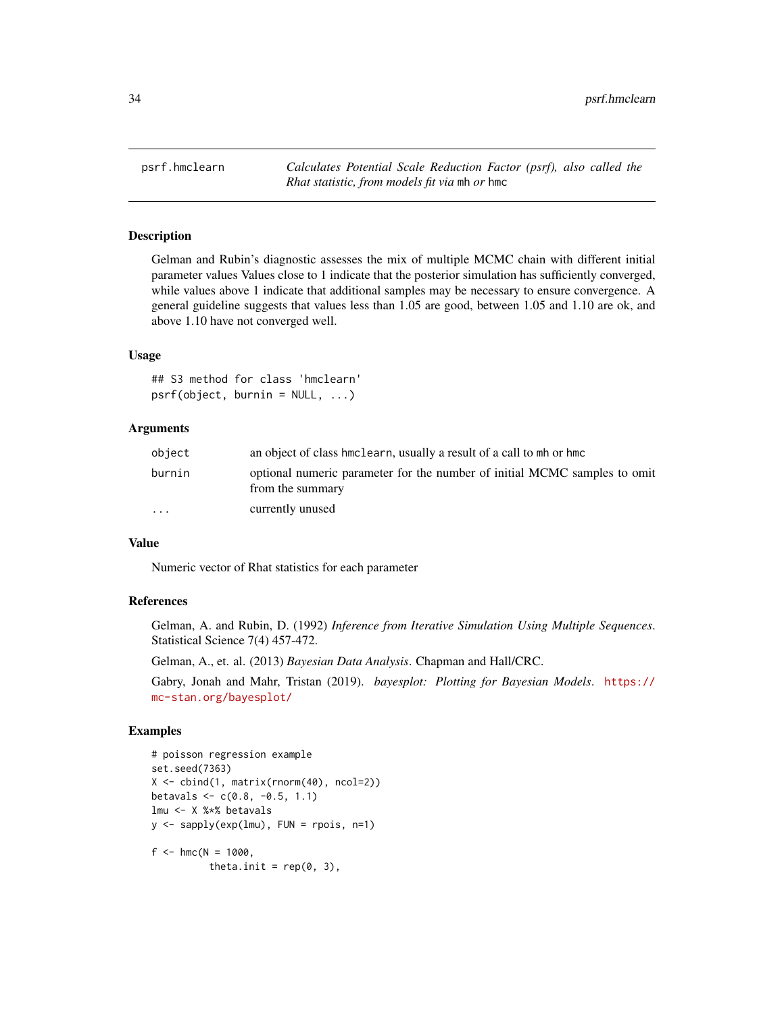<span id="page-33-0"></span>psrf.hmclearn *Calculates Potential Scale Reduction Factor (psrf), also called the Rhat statistic, from models fit via* mh *or* hmc

#### Description

Gelman and Rubin's diagnostic assesses the mix of multiple MCMC chain with different initial parameter values Values close to 1 indicate that the posterior simulation has sufficiently converged, while values above 1 indicate that additional samples may be necessary to ensure convergence. A general guideline suggests that values less than 1.05 are good, between 1.05 and 1.10 are ok, and above 1.10 have not converged well.

### Usage

## S3 method for class 'hmclearn'  $psrf(object, burnin = NULL, ...)$ 

### Arguments

| object    | an object of class hmclearn, usually a result of a call to mh or hmc                          |
|-----------|-----------------------------------------------------------------------------------------------|
| burnin    | optional numeric parameter for the number of initial MCMC samples to omit<br>from the summary |
| $\ddotsc$ | currently unused                                                                              |

#### Value

Numeric vector of Rhat statistics for each parameter

#### References

Gelman, A. and Rubin, D. (1992) *Inference from Iterative Simulation Using Multiple Sequences*. Statistical Science 7(4) 457-472.

Gelman, A., et. al. (2013) *Bayesian Data Analysis*. Chapman and Hall/CRC.

Gabry, Jonah and Mahr, Tristan (2019). *bayesplot: Plotting for Bayesian Models*. [https://](https://mc-stan.org/bayesplot/) [mc-stan.org/bayesplot/](https://mc-stan.org/bayesplot/)

#### Examples

```
# poisson regression example
set.seed(7363)
X <- cbind(1, matrix(rnorm(40), ncol=2))
betavals \leq c(0.8, -0.5, 1.1)lmu <- X %*% betavals
y \leq - sapply(exp(lmu), FUN = rpois, n=1)
f <- hmc(N = 1000,
          theta.init = rep(0, 3),
```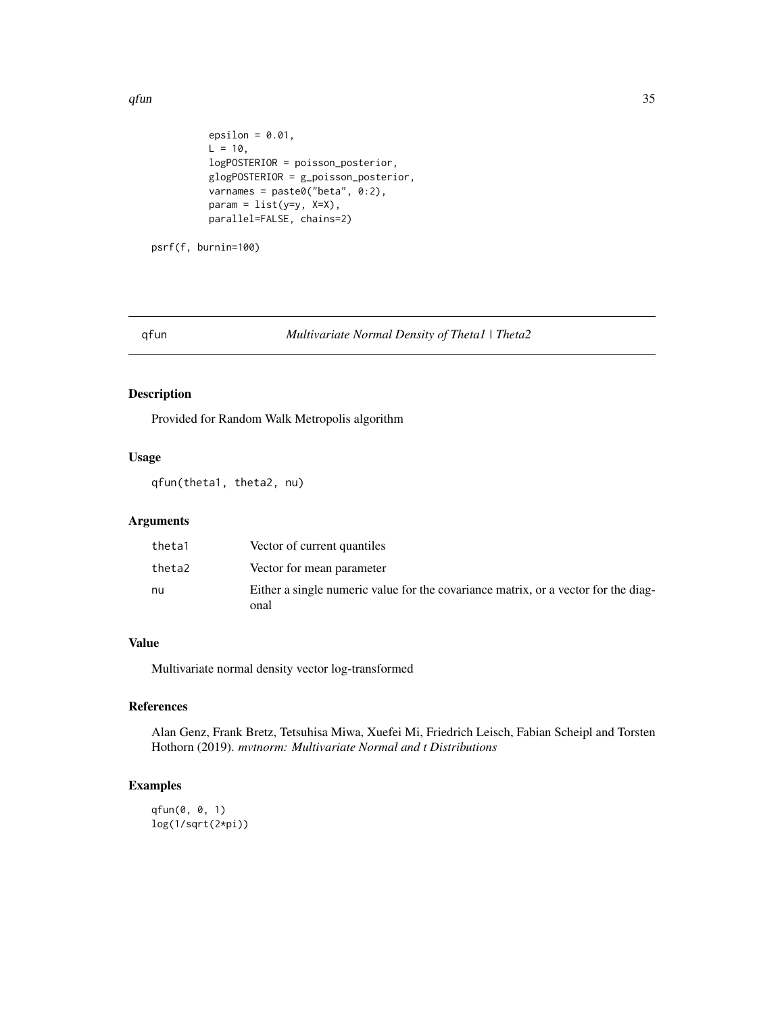<span id="page-34-0"></span> $q$ fun  $35$ 

```
epsilon = 0.01,
L = 10,
logPOSTERIOR = poisson_posterior,
glogPOSTERIOR = g_poisson_posterior,
varnames = paste0("beta", 0:2),
param = list(y=y, X=X),parallel=FALSE, chains=2)
```
psrf(f, burnin=100)

#### qfun *Multivariate Normal Density of Theta1 | Theta2*

# Description

Provided for Random Walk Metropolis algorithm

# Usage

qfun(theta1, theta2, nu)

# Arguments

| theta1 | Vector of current quantiles                                                                |
|--------|--------------------------------------------------------------------------------------------|
| theta2 | Vector for mean parameter                                                                  |
| nu     | Either a single numeric value for the covariance matrix, or a vector for the diag-<br>onal |

# Value

Multivariate normal density vector log-transformed

# References

Alan Genz, Frank Bretz, Tetsuhisa Miwa, Xuefei Mi, Friedrich Leisch, Fabian Scheipl and Torsten Hothorn (2019). *mvtnorm: Multivariate Normal and t Distributions*

# Examples

```
qfun(0, 0, 1)
log(1/sqrt(2*pi))
```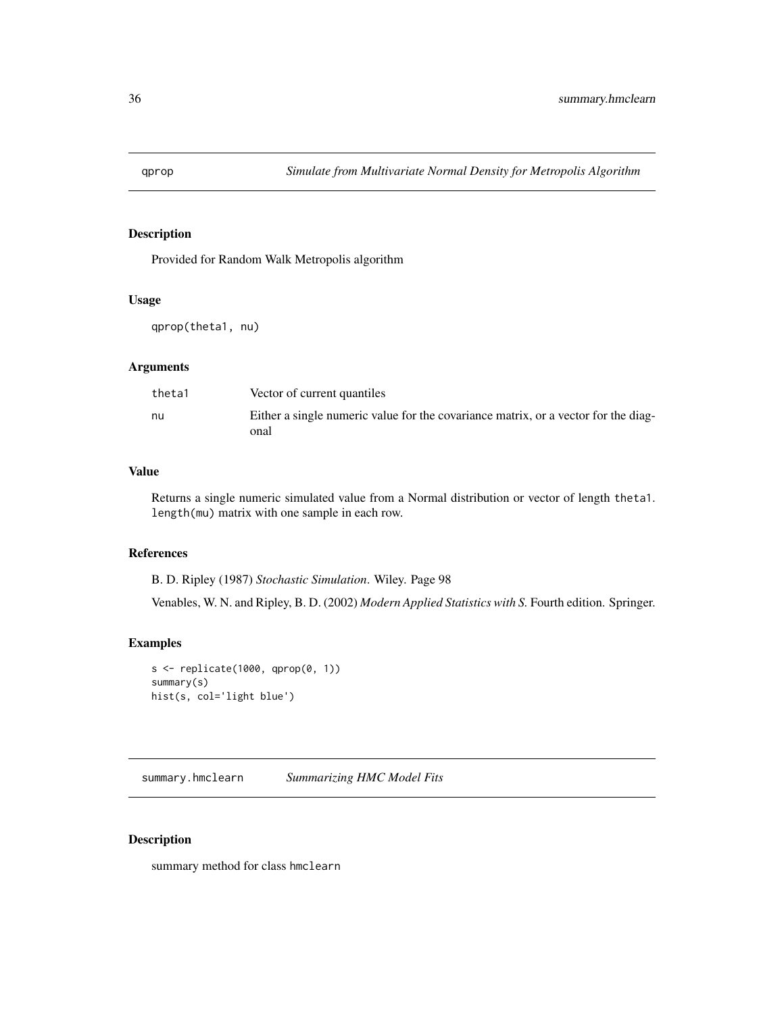<span id="page-35-0"></span>

# Description

Provided for Random Walk Metropolis algorithm

#### Usage

qprop(theta1, nu)

# Arguments

| theta1 | Vector of current quantiles                                                                |
|--------|--------------------------------------------------------------------------------------------|
| nu     | Either a single numeric value for the covariance matrix, or a vector for the diag-<br>onal |

# Value

Returns a single numeric simulated value from a Normal distribution or vector of length theta1. length(mu) matrix with one sample in each row.

#### References

B. D. Ripley (1987) *Stochastic Simulation*. Wiley. Page 98

Venables, W. N. and Ripley, B. D. (2002) *Modern Applied Statistics with S.* Fourth edition. Springer.

# Examples

```
s <- replicate(1000, qprop(0, 1))
summary(s)
hist(s, col='light blue')
```
summary.hmclearn *Summarizing HMC Model Fits*

# Description

summary method for class hmclearn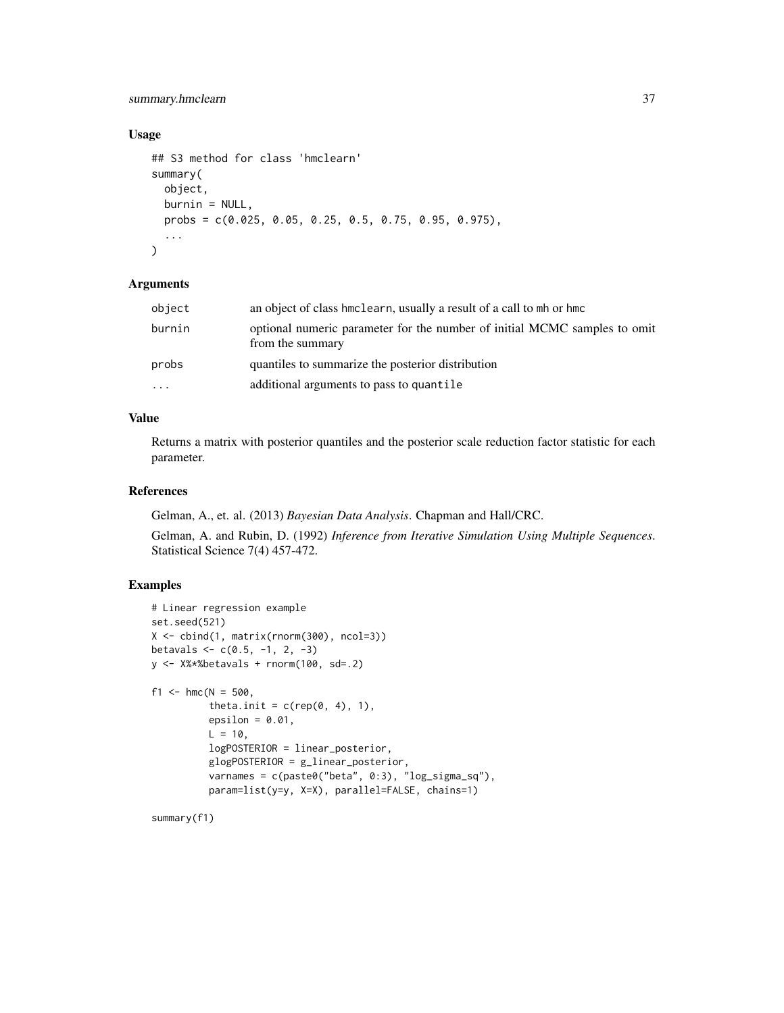# summary.hmclearn 37

# Usage

```
## S3 method for class 'hmclearn'
summary(
 object,
 burnin = NULL,
 probs = c(0.025, 0.05, 0.25, 0.5, 0.75, 0.95, 0.975),
  ...
)
```
#### **Arguments**

| object | an object of class hmclearn, usually a result of a call to mh or hmc                          |
|--------|-----------------------------------------------------------------------------------------------|
| burnin | optional numeric parameter for the number of initial MCMC samples to omit<br>from the summary |
| probs  | quantiles to summarize the posterior distribution                                             |
| .      | additional arguments to pass to quantile                                                      |

# Value

Returns a matrix with posterior quantiles and the posterior scale reduction factor statistic for each parameter.

# References

Gelman, A., et. al. (2013) *Bayesian Data Analysis*. Chapman and Hall/CRC.

Gelman, A. and Rubin, D. (1992) *Inference from Iterative Simulation Using Multiple Sequences*. Statistical Science 7(4) 457-472.

# Examples

```
# Linear regression example
set.seed(521)
X <- cbind(1, matrix(rnorm(300), ncol=3))
betavals \leq c(0.5, -1, 2, -3)y \leftarrow X%*%betavals + rnorm(100, sd=.2)
f1 <- hmc(N = 500,
          theta.init = c(rep(\theta, 4), 1),
          epsilon = 0.01,
          L = 10,
          logPOSTERIOR = linear_posterior,
          glogPOSTERIOR = g_linear_posterior,
          varnames = c(paste0("beta", 0:3), "log_sigma_sq"),
          param=list(y=y, X=X), parallel=FALSE, chains=1)
```
summary(f1)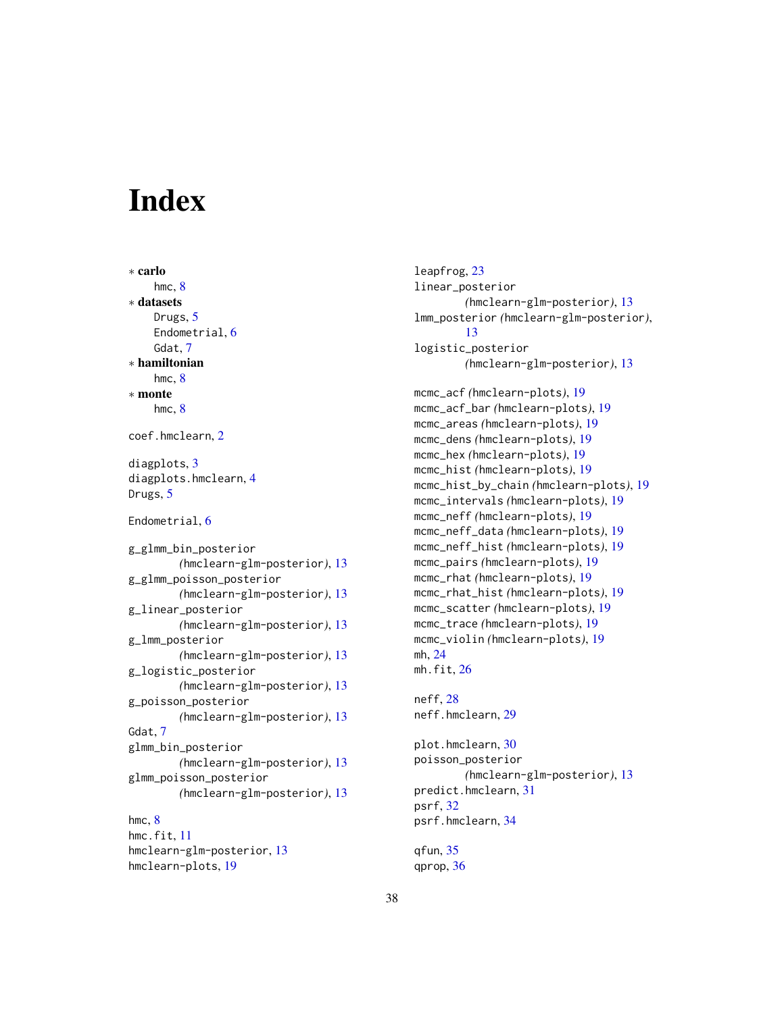# <span id="page-37-0"></span>**Index**

∗ carlo hmc, [8](#page-7-0) ∗ datasets Drugs, [5](#page-4-0) Endometrial, [6](#page-5-0) Gdat, [7](#page-6-0) ∗ hamiltonian hmc, [8](#page-7-0) ∗ monte hmc, [8](#page-7-0) coef.hmclearn, [2](#page-1-0) diagplots, [3](#page-2-0) diagplots.hmclearn, [4](#page-3-0) Drugs, [5](#page-4-0) Endometrial, [6](#page-5-0) g\_glmm\_bin\_posterior *(*hmclearn-glm-posterior*)*, [13](#page-12-0) g\_glmm\_poisson\_posterior *(*hmclearn-glm-posterior*)*, [13](#page-12-0) g\_linear\_posterior *(*hmclearn-glm-posterior*)*, [13](#page-12-0) g\_lmm\_posterior *(*hmclearn-glm-posterior*)*, [13](#page-12-0) g\_logistic\_posterior *(*hmclearn-glm-posterior*)*, [13](#page-12-0) g\_poisson\_posterior *(*hmclearn-glm-posterior*)*, [13](#page-12-0) Gdat, [7](#page-6-0) glmm\_bin\_posterior *(*hmclearn-glm-posterior*)*, [13](#page-12-0) glmm\_poisson\_posterior *(*hmclearn-glm-posterior*)*, [13](#page-12-0) hmc, [8](#page-7-0) hmc.fit, [11](#page-10-0) hmclearn-glm-posterior, [13](#page-12-0)

hmclearn-plots, [19](#page-18-0)

leapfrog, [23](#page-22-0) linear\_posterior *(*hmclearn-glm-posterior*)*, [13](#page-12-0) lmm\_posterior *(*hmclearn-glm-posterior*)*, [13](#page-12-0) logistic\_posterior *(*hmclearn-glm-posterior*)*, [13](#page-12-0) mcmc\_acf *(*hmclearn-plots*)*, [19](#page-18-0) mcmc\_acf\_bar *(*hmclearn-plots*)*, [19](#page-18-0) mcmc\_areas *(*hmclearn-plots*)*, [19](#page-18-0) mcmc\_dens *(*hmclearn-plots*)*, [19](#page-18-0) mcmc\_hex *(*hmclearn-plots*)*, [19](#page-18-0) mcmc\_hist *(*hmclearn-plots*)*, [19](#page-18-0) mcmc\_hist\_by\_chain *(*hmclearn-plots*)*, [19](#page-18-0) mcmc\_intervals *(*hmclearn-plots*)*, [19](#page-18-0) mcmc\_neff *(*hmclearn-plots*)*, [19](#page-18-0) mcmc\_neff\_data *(*hmclearn-plots*)*, [19](#page-18-0) mcmc\_neff\_hist *(*hmclearn-plots*)*, [19](#page-18-0) mcmc\_pairs *(*hmclearn-plots*)*, [19](#page-18-0) mcmc\_rhat *(*hmclearn-plots*)*, [19](#page-18-0) mcmc\_rhat\_hist *(*hmclearn-plots*)*, [19](#page-18-0) mcmc\_scatter *(*hmclearn-plots*)*, [19](#page-18-0) mcmc\_trace *(*hmclearn-plots*)*, [19](#page-18-0) mcmc\_violin *(*hmclearn-plots*)*, [19](#page-18-0) mh, [24](#page-23-0) mh.fit,  $26$ neff, [28](#page-27-0) neff.hmclearn, [29](#page-28-0) plot.hmclearn, [30](#page-29-0)

poisson\_posterior *(*hmclearn-glm-posterior*)*, [13](#page-12-0) predict.hmclearn, [31](#page-30-0) psrf, [32](#page-31-0) psrf.hmclearn, [34](#page-33-0)

qfun, [35](#page-34-0) qprop, [36](#page-35-0)